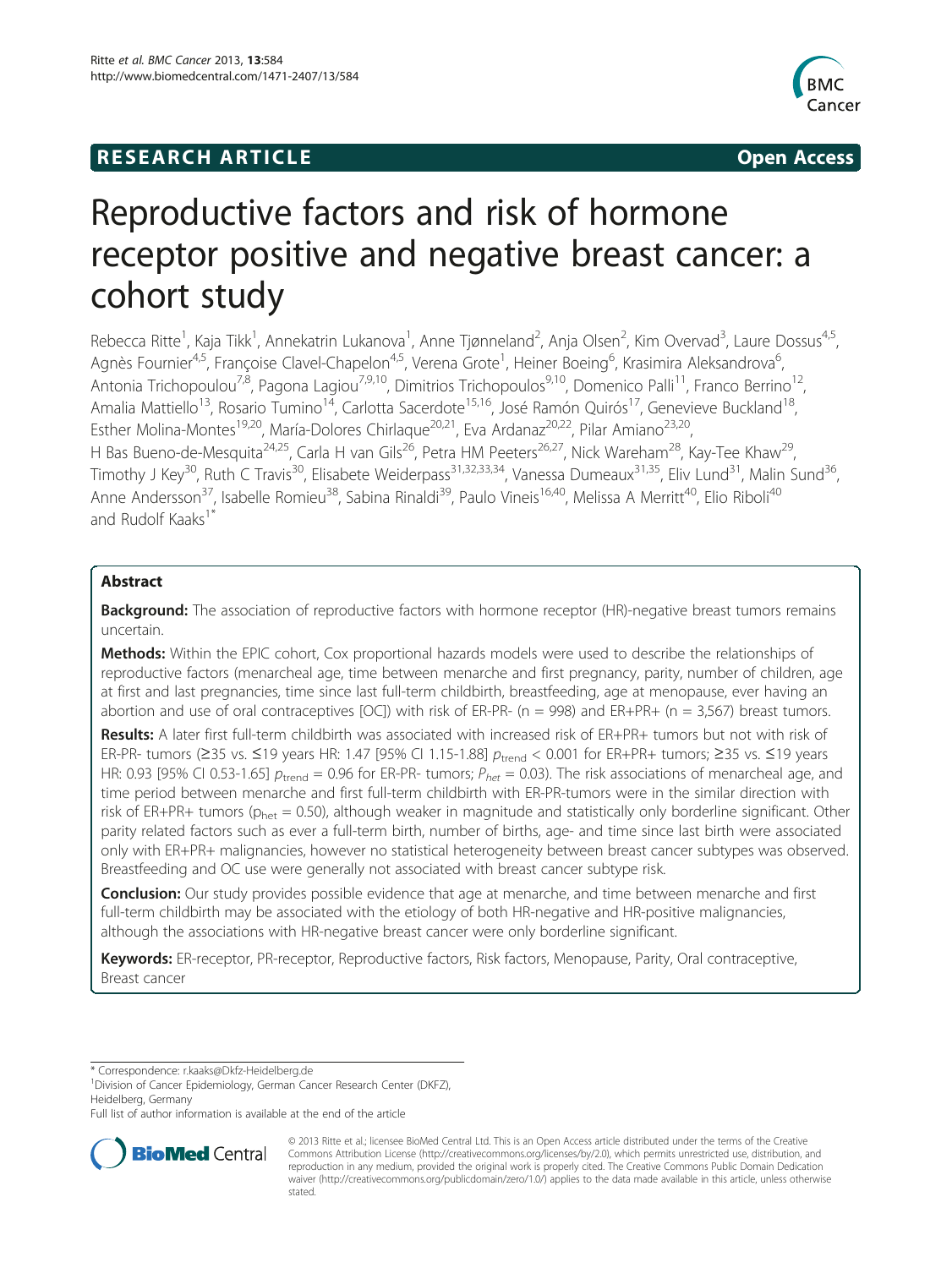## **RESEARCH ARTICLE Example 2014 CONSIDERING CONSIDERING CONSIDERING CONSIDERING CONSIDERING CONSIDERING CONSIDERING CONSIDERING CONSIDERING CONSIDERING CONSIDERING CONSIDERING CONSIDERING CONSIDERING CONSIDERING CONSIDE**



# Reproductive factors and risk of hormone receptor positive and negative breast cancer: a cohort study

Rebecca Ritte<sup>1</sup>, Kaja Tikk<sup>1</sup>, Annekatrin Lukanova<sup>1</sup>, Anne Tjønneland<sup>2</sup>, Anja Olsen<sup>2</sup>, Kim Overvad<sup>3</sup>, Laure Dossus<sup>4,5</sup>, Agnès Fournier<sup>4,5</sup>, Françoise Clavel-Chapelon<sup>4,5</sup>, Verena Grote<sup>1</sup>, Heiner Boeing<sup>6</sup>, Krasimira Aleksandrova<sup>6</sup> , Antonia Trichopoulou<sup>7,8</sup>, Pagona Lagiou<sup>7,9,10</sup>, Dimitrios Trichopoulos<sup>9,10</sup>, Domenico Palli<sup>11</sup>, Franco Berrino<sup>12</sup>, Amalia Mattiello<sup>13</sup>, Rosario Tumino<sup>14</sup>, Carlotta Sacerdote<sup>15,16</sup>, José Ramón Quirós<sup>17</sup>, Genevieve Buckland<sup>18</sup>, Esther Molina-Montes<sup>19,20</sup>, María-Dolores Chirlaque<sup>20,21</sup>, Eva Ardanaz<sup>20,22</sup>, Pilar Amiano<sup>23,20</sup>, H Bas Bueno-de-Mesquita<sup>24,25</sup>, Carla H van Gils<sup>26</sup>, Petra HM Peeters<sup>26,27</sup>, Nick Wareham<sup>28</sup>, Kay-Tee Khaw<sup>29</sup>, Timothy J Key<sup>30</sup>, Ruth C Travis<sup>30</sup>, Elisabete Weiderpass<sup>31,32,33,34</sup>, Vanessa Dumeaux<sup>31,35</sup>, Eliv Lund<sup>31</sup>, Malin Sund<sup>36</sup>, Anne Andersson<sup>37</sup>, Isabelle Romieu<sup>38</sup>, Sabina Rinaldi<sup>39</sup>, Paulo Vineis<sup>16,40</sup>, Melissa A Merritt<sup>40</sup>, Elio Riboli<sup>40</sup> and Rudolf Kaaks<sup>1\*</sup>

## Abstract

**Background:** The association of reproductive factors with hormone receptor (HR)-negative breast tumors remains uncertain.

Methods: Within the EPIC cohort, Cox proportional hazards models were used to describe the relationships of reproductive factors (menarcheal age, time between menarche and first pregnancy, parity, number of children, age at first and last pregnancies, time since last full-term childbirth, breastfeeding, age at menopause, ever having an abortion and use of oral contraceptives  $[OC]$ ) with risk of ER-PR- (n = 998) and ER+PR+ (n = 3,567) breast tumors.

Results: A later first full-term childbirth was associated with increased risk of ER+PR+ tumors but not with risk of ER-PR- tumors (≥35 vs. ≤19 years HR: 1.47 [95% CI 1.15-1.88]  $p_{\text{trend}}$  < 0.001 for ER+PR+ tumors; ≥35 vs. ≤19 years HR: 0.93 [95% CI 0.53-1.65]  $p_{\text{trend}} = 0.96$  for ER-PR- tumors;  $P_{het} = 0.03$ ). The risk associations of menarcheal age, and time period between menarche and first full-term childbirth with ER-PR-tumors were in the similar direction with risk of ER+PR+ tumors ( $p_{\text{net}} = 0.50$ ), although weaker in magnitude and statistically only borderline significant. Other parity related factors such as ever a full-term birth, number of births, age- and time since last birth were associated only with ER+PR+ malignancies, however no statistical heterogeneity between breast cancer subtypes was observed. Breastfeeding and OC use were generally not associated with breast cancer subtype risk.

**Conclusion:** Our study provides possible evidence that age at menarche, and time between menarche and first full-term childbirth may be associated with the etiology of both HR-negative and HR-positive malignancies, although the associations with HR-negative breast cancer were only borderline significant.

Keywords: ER-receptor, PR-receptor, Reproductive factors, Risk factors, Menopause, Parity, Oral contraceptive, Breast cancer

\* Correspondence: [r.kaaks@Dkfz-Heidelberg.de](mailto:r.kaaks@Dkfz-Heidelberg.de) <sup>1</sup>

<sup>1</sup> Division of Cancer Epidemiology, German Cancer Research Center (DKFZ), Heidelberg, Germany

Full list of author information is available at the end of the article



© 2013 Ritte et al.; licensee BioMed Central Ltd. This is an Open Access article distributed under the terms of the Creative Commons Attribution License [\(http://creativecommons.org/licenses/by/2.0\)](http://creativecommons.org/licenses/by/2.0), which permits unrestricted use, distribution, and reproduction in any medium, provided the original work is properly cited. The Creative Commons Public Domain Dedication waiver [\(http://creativecommons.org/publicdomain/zero/1.0/\)](http://creativecommons.org/publicdomain/zero/1.0/) applies to the data made available in this article, unless otherwise stated.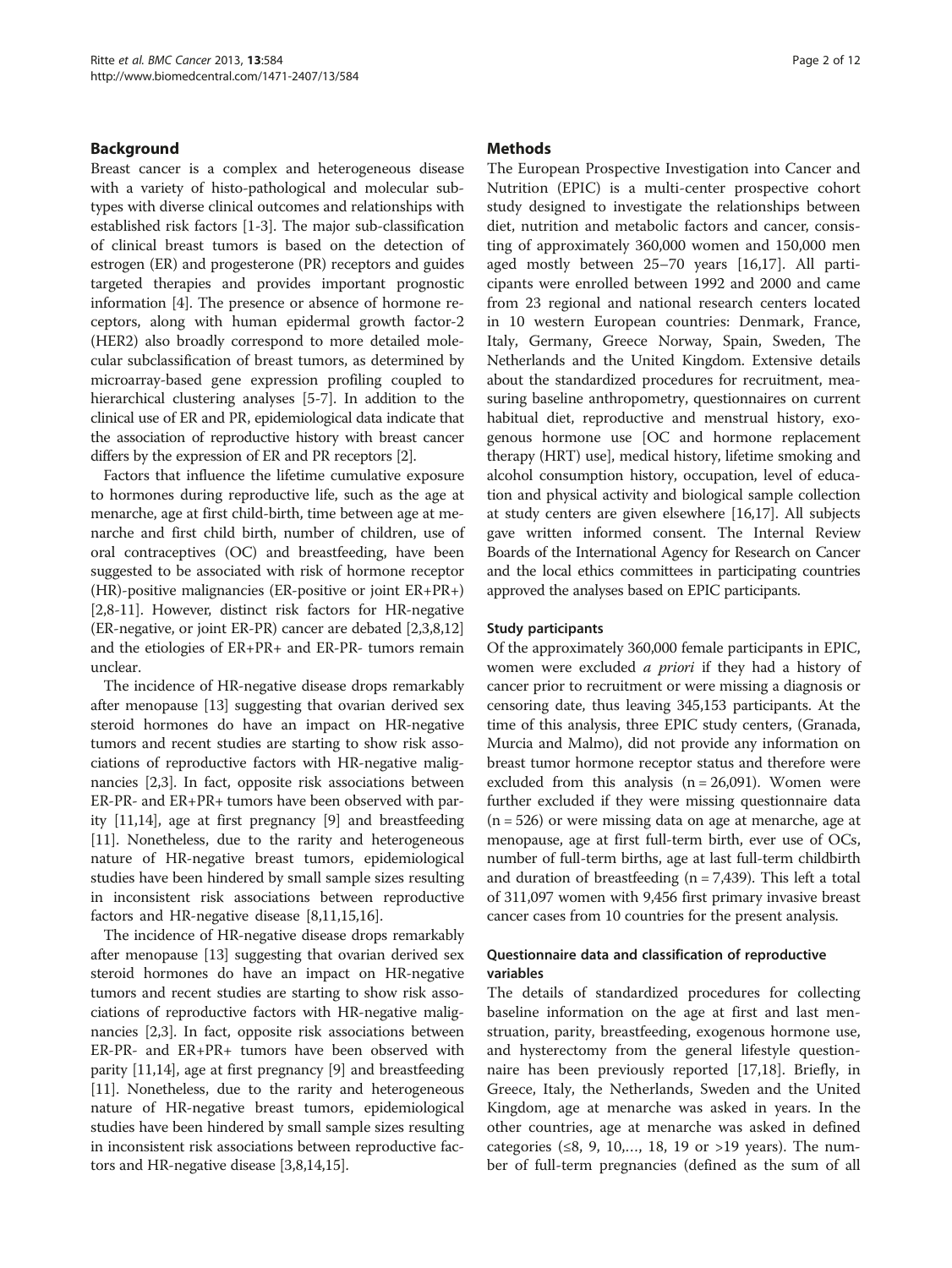### Background

Breast cancer is a complex and heterogeneous disease with a variety of histo-pathological and molecular subtypes with diverse clinical outcomes and relationships with established risk factors [[1-3\]](#page-10-0). The major sub-classification of clinical breast tumors is based on the detection of estrogen (ER) and progesterone (PR) receptors and guides targeted therapies and provides important prognostic information [[4](#page-10-0)]. The presence or absence of hormone receptors, along with human epidermal growth factor-2 (HER2) also broadly correspond to more detailed molecular subclassification of breast tumors, as determined by microarray-based gene expression profiling coupled to hierarchical clustering analyses [\[5](#page-10-0)-[7](#page-10-0)]. In addition to the clinical use of ER and PR, epidemiological data indicate that the association of reproductive history with breast cancer differs by the expression of ER and PR receptors [\[2\]](#page-10-0).

Factors that influence the lifetime cumulative exposure to hormones during reproductive life, such as the age at menarche, age at first child-birth, time between age at menarche and first child birth, number of children, use of oral contraceptives (OC) and breastfeeding, have been suggested to be associated with risk of hormone receptor (HR)-positive malignancies (ER-positive or joint ER+PR+) [[2,8-11\]](#page-10-0). However, distinct risk factors for HR-negative (ER-negative, or joint ER-PR) cancer are debated [\[2,3,8,12](#page-10-0)] and the etiologies of ER+PR+ and ER-PR- tumors remain unclear.

The incidence of HR-negative disease drops remarkably after menopause [[13](#page-10-0)] suggesting that ovarian derived sex steroid hormones do have an impact on HR-negative tumors and recent studies are starting to show risk associations of reproductive factors with HR-negative malignancies [[2,3\]](#page-10-0). In fact, opposite risk associations between ER-PR- and ER+PR+ tumors have been observed with parity [\[11,14\]](#page-10-0), age at first pregnancy [\[9](#page-10-0)] and breastfeeding [[11](#page-10-0)]. Nonetheless, due to the rarity and heterogeneous nature of HR-negative breast tumors, epidemiological studies have been hindered by small sample sizes resulting in inconsistent risk associations between reproductive factors and HR-negative disease [[8,11,15,16](#page-10-0)].

The incidence of HR-negative disease drops remarkably after menopause [[13](#page-10-0)] suggesting that ovarian derived sex steroid hormones do have an impact on HR-negative tumors and recent studies are starting to show risk associations of reproductive factors with HR-negative malignancies [[2,3\]](#page-10-0). In fact, opposite risk associations between ER-PR- and ER+PR+ tumors have been observed with parity [[11](#page-10-0),[14](#page-10-0)], age at first pregnancy [\[9](#page-10-0)] and breastfeeding [[11](#page-10-0)]. Nonetheless, due to the rarity and heterogeneous nature of HR-negative breast tumors, epidemiological studies have been hindered by small sample sizes resulting in inconsistent risk associations between reproductive factors and HR-negative disease [\[3,8,14,15](#page-10-0)].

### **Methods**

The European Prospective Investigation into Cancer and Nutrition (EPIC) is a multi-center prospective cohort study designed to investigate the relationships between diet, nutrition and metabolic factors and cancer, consisting of approximately 360,000 women and 150,000 men aged mostly between 25–70 years [\[16,17](#page-10-0)]. All participants were enrolled between 1992 and 2000 and came from 23 regional and national research centers located in 10 western European countries: Denmark, France, Italy, Germany, Greece Norway, Spain, Sweden, The Netherlands and the United Kingdom. Extensive details about the standardized procedures for recruitment, measuring baseline anthropometry, questionnaires on current habitual diet, reproductive and menstrual history, exogenous hormone use [OC and hormone replacement therapy (HRT) use], medical history, lifetime smoking and alcohol consumption history, occupation, level of education and physical activity and biological sample collection at study centers are given elsewhere [[16,17](#page-10-0)]. All subjects gave written informed consent. The Internal Review Boards of the International Agency for Research on Cancer and the local ethics committees in participating countries approved the analyses based on EPIC participants.

#### Study participants

Of the approximately 360,000 female participants in EPIC, women were excluded a priori if they had a history of cancer prior to recruitment or were missing a diagnosis or censoring date, thus leaving 345,153 participants. At the time of this analysis, three EPIC study centers, (Granada, Murcia and Malmo), did not provide any information on breast tumor hormone receptor status and therefore were excluded from this analysis  $(n = 26,091)$ . Women were further excluded if they were missing questionnaire data  $(n = 526)$  or were missing data on age at menarche, age at menopause, age at first full-term birth, ever use of OCs, number of full-term births, age at last full-term childbirth and duration of breastfeeding ( $n = 7,439$ ). This left a total of 311,097 women with 9,456 first primary invasive breast cancer cases from 10 countries for the present analysis.

## Questionnaire data and classification of reproductive variables

The details of standardized procedures for collecting baseline information on the age at first and last menstruation, parity, breastfeeding, exogenous hormone use, and hysterectomy from the general lifestyle questionnaire has been previously reported [\[17,18](#page-10-0)]. Briefly, in Greece, Italy, the Netherlands, Sweden and the United Kingdom, age at menarche was asked in years. In the other countries, age at menarche was asked in defined categories (≤8, 9, 10,..., 18, 19 or >19 years). The number of full-term pregnancies (defined as the sum of all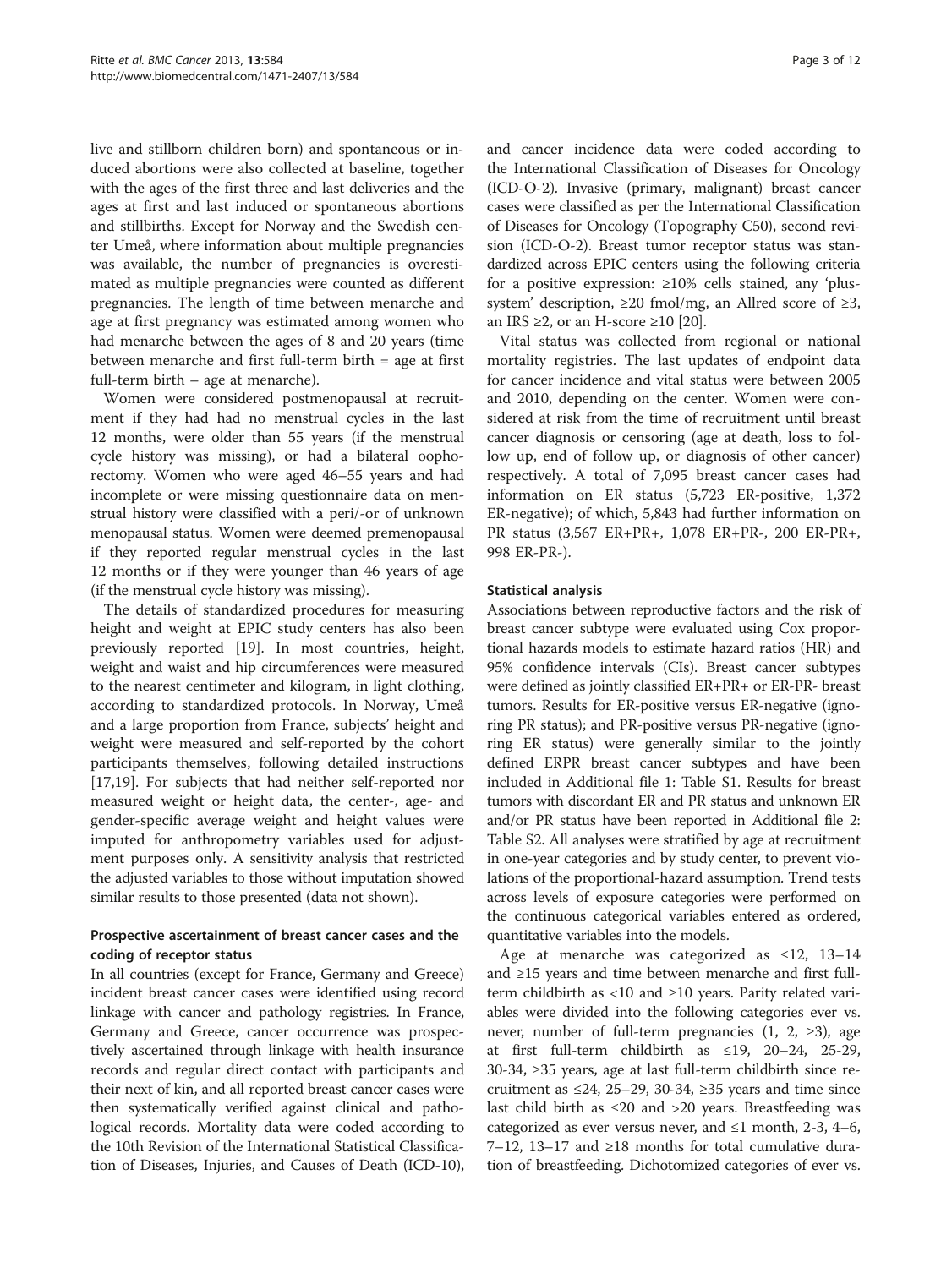live and stillborn children born) and spontaneous or induced abortions were also collected at baseline, together with the ages of the first three and last deliveries and the ages at first and last induced or spontaneous abortions and stillbirths. Except for Norway and the Swedish center Umeå, where information about multiple pregnancies was available, the number of pregnancies is overestimated as multiple pregnancies were counted as different pregnancies. The length of time between menarche and age at first pregnancy was estimated among women who had menarche between the ages of 8 and 20 years (time between menarche and first full-term birth = age at first full-term birth – age at menarche).

Women were considered postmenopausal at recruitment if they had had no menstrual cycles in the last 12 months, were older than 55 years (if the menstrual cycle history was missing), or had a bilateral oophorectomy. Women who were aged 46–55 years and had incomplete or were missing questionnaire data on menstrual history were classified with a peri/-or of unknown menopausal status. Women were deemed premenopausal if they reported regular menstrual cycles in the last 12 months or if they were younger than 46 years of age (if the menstrual cycle history was missing).

The details of standardized procedures for measuring height and weight at EPIC study centers has also been previously reported [\[19](#page-10-0)]. In most countries, height, weight and waist and hip circumferences were measured to the nearest centimeter and kilogram, in light clothing, according to standardized protocols. In Norway, Umeå and a large proportion from France, subjects' height and weight were measured and self-reported by the cohort participants themselves, following detailed instructions [[17,19\]](#page-10-0). For subjects that had neither self-reported nor measured weight or height data, the center-, age- and gender-specific average weight and height values were imputed for anthropometry variables used for adjustment purposes only. A sensitivity analysis that restricted the adjusted variables to those without imputation showed similar results to those presented (data not shown).

## Prospective ascertainment of breast cancer cases and the coding of receptor status

In all countries (except for France, Germany and Greece) incident breast cancer cases were identified using record linkage with cancer and pathology registries. In France, Germany and Greece, cancer occurrence was prospectively ascertained through linkage with health insurance records and regular direct contact with participants and their next of kin, and all reported breast cancer cases were then systematically verified against clinical and pathological records. Mortality data were coded according to the 10th Revision of the International Statistical Classification of Diseases, Injuries, and Causes of Death (ICD-10),

and cancer incidence data were coded according to the International Classification of Diseases for Oncology (ICD-O-2). Invasive (primary, malignant) breast cancer cases were classified as per the International Classification of Diseases for Oncology (Topography C50), second revision (ICD-O-2). Breast tumor receptor status was standardized across EPIC centers using the following criteria for a positive expression: ≥10% cells stained, any 'plussystem' description,  $\geq 20$  fmol/mg, an Allred score of  $\geq 3$ , an IRS  $\geq$ 2, or an H-score  $\geq$ 10 [\[20](#page-10-0)].

Vital status was collected from regional or national mortality registries. The last updates of endpoint data for cancer incidence and vital status were between 2005 and 2010, depending on the center. Women were considered at risk from the time of recruitment until breast cancer diagnosis or censoring (age at death, loss to follow up, end of follow up, or diagnosis of other cancer) respectively. A total of 7,095 breast cancer cases had information on ER status (5,723 ER-positive, 1,372 ER-negative); of which, 5,843 had further information on PR status (3,567 ER+PR+, 1,078 ER+PR-, 200 ER-PR+, 998 ER-PR-).

#### Statistical analysis

Associations between reproductive factors and the risk of breast cancer subtype were evaluated using Cox proportional hazards models to estimate hazard ratios (HR) and 95% confidence intervals (CIs). Breast cancer subtypes were defined as jointly classified ER+PR+ or ER-PR- breast tumors. Results for ER-positive versus ER-negative (ignoring PR status); and PR-positive versus PR-negative (ignoring ER status) were generally similar to the jointly defined ERPR breast cancer subtypes and have been included in Additional file [1:](#page-9-0) Table S1. Results for breast tumors with discordant ER and PR status and unknown ER and/or PR status have been reported in Additional file [2](#page-9-0): Table S2. All analyses were stratified by age at recruitment in one-year categories and by study center, to prevent violations of the proportional-hazard assumption. Trend tests across levels of exposure categories were performed on the continuous categorical variables entered as ordered, quantitative variables into the models.

Age at menarche was categorized as ≤12, 13–14 and ≥15 years and time between menarche and first fullterm childbirth as <10 and ≥10 years. Parity related variables were divided into the following categories ever vs. never, number of full-term pregnancies  $(1, 2, \ge 3)$ , age at first full-term childbirth as ≤19, 20–24, 25-29, 30-34, ≥35 years, age at last full-term childbirth since recruitment as  $\leq 24$ , 25–29, 30-34,  $\geq 35$  years and time since last child birth as  $\leq 20$  and  $> 20$  years. Breastfeeding was categorized as ever versus never, and  $\leq 1$  month, 2-3, 4–6, 7–12, 13–17 and ≥18 months for total cumulative duration of breastfeeding. Dichotomized categories of ever vs.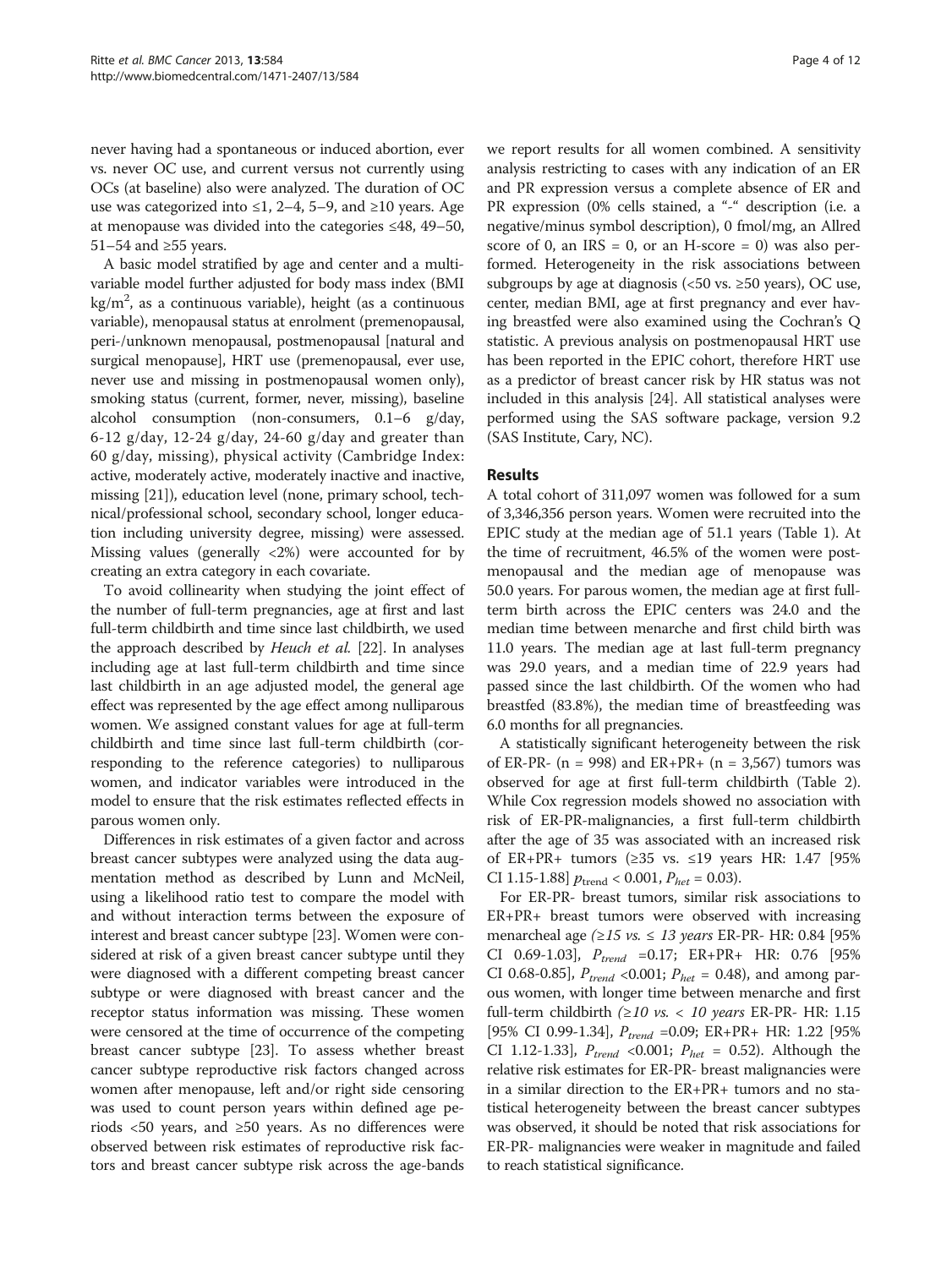never having had a spontaneous or induced abortion, ever vs. never OC use, and current versus not currently using OCs (at baseline) also were analyzed. The duration of OC use was categorized into ≤1, 2–4, 5–9, and ≥10 years. Age at menopause was divided into the categories ≤48, 49–50, 51–54 and ≥55 years.

A basic model stratified by age and center and a multivariable model further adjusted for body mass index (BMI kg/m $^2$ , as a continuous variable), height (as a continuous variable), menopausal status at enrolment (premenopausal, peri-/unknown menopausal, postmenopausal [natural and surgical menopause], HRT use (premenopausal, ever use, never use and missing in postmenopausal women only), smoking status (current, former, never, missing), baseline alcohol consumption (non-consumers, 0.1–6 g/day, 6-12 g/day, 12-24 g/day, 24-60 g/day and greater than 60 g/day, missing), physical activity (Cambridge Index: active, moderately active, moderately inactive and inactive, missing [\[21\]](#page-11-0)), education level (none, primary school, technical/professional school, secondary school, longer education including university degree, missing) were assessed. Missing values (generally  $\langle 2\% \rangle$  were accounted for by creating an extra category in each covariate.

To avoid collinearity when studying the joint effect of the number of full-term pregnancies, age at first and last full-term childbirth and time since last childbirth, we used the approach described by Heuch et al. [[22\]](#page-11-0). In analyses including age at last full-term childbirth and time since last childbirth in an age adjusted model, the general age effect was represented by the age effect among nulliparous women. We assigned constant values for age at full-term childbirth and time since last full-term childbirth (corresponding to the reference categories) to nulliparous women, and indicator variables were introduced in the model to ensure that the risk estimates reflected effects in parous women only.

Differences in risk estimates of a given factor and across breast cancer subtypes were analyzed using the data augmentation method as described by Lunn and McNeil, using a likelihood ratio test to compare the model with and without interaction terms between the exposure of interest and breast cancer subtype [\[23\]](#page-11-0). Women were considered at risk of a given breast cancer subtype until they were diagnosed with a different competing breast cancer subtype or were diagnosed with breast cancer and the receptor status information was missing. These women were censored at the time of occurrence of the competing breast cancer subtype [\[23](#page-11-0)]. To assess whether breast cancer subtype reproductive risk factors changed across women after menopause, left and/or right side censoring was used to count person years within defined age periods  $\lt 50$  years, and  $\ge 50$  years. As no differences were observed between risk estimates of reproductive risk factors and breast cancer subtype risk across the age-bands we report results for all women combined. A sensitivity analysis restricting to cases with any indication of an ER and PR expression versus a complete absence of ER and PR expression (0% cells stained, a "-" description (i.e. a negative/minus symbol description), 0 fmol/mg, an Allred score of 0, an  $IRS = 0$ , or an H-score = 0) was also performed. Heterogeneity in the risk associations between subgroups by age at diagnosis ( $<50$  vs.  $\geq50$  years), OC use, center, median BMI, age at first pregnancy and ever having breastfed were also examined using the Cochran's Q statistic. A previous analysis on postmenopausal HRT use has been reported in the EPIC cohort, therefore HRT use as a predictor of breast cancer risk by HR status was not included in this analysis [\[24\]](#page-11-0). All statistical analyses were performed using the SAS software package, version 9.2 (SAS Institute, Cary, NC).

#### Results

A total cohort of 311,097 women was followed for a sum of 3,346,356 person years. Women were recruited into the EPIC study at the median age of 51.1 years (Table [1\)](#page-4-0). At the time of recruitment, 46.5% of the women were postmenopausal and the median age of menopause was 50.0 years. For parous women, the median age at first fullterm birth across the EPIC centers was 24.0 and the median time between menarche and first child birth was 11.0 years. The median age at last full-term pregnancy was 29.0 years, and a median time of 22.9 years had passed since the last childbirth. Of the women who had breastfed (83.8%), the median time of breastfeeding was 6.0 months for all pregnancies.

A statistically significant heterogeneity between the risk of ER-PR- (n = 998) and ER+PR+ (n = 3,567) tumors was observed for age at first full-term childbirth (Table [2](#page-5-0)). While Cox regression models showed no association with risk of ER-PR-malignancies, a first full-term childbirth after the age of 35 was associated with an increased risk of ER+PR+ tumors ( $\geq$ 35 vs.  $\leq$ 19 years HR: 1.47 [95%] CI 1.15-1.88]  $p_{\text{trend}} < 0.001$ ,  $P_{het} = 0.03$ ).

For ER-PR- breast tumors, similar risk associations to ER+PR+ breast tumors were observed with increasing menarcheal age ( $\geq 15$  vs.  $\leq 13$  years ER-PR- HR: 0.84 [95%] CI 0.69-1.03],  $P_{trend}$  =0.17; ER+PR+ HR: 0.76 [95% CI 0.68-0.85],  $P_{trend}$  <0.001;  $P_{het}$  = 0.48), and among parous women, with longer time between menarche and first full-term childbirth ( $\geq 10$  vs. < 10 years ER-PR- HR: 1.15 [95% CI 0.99-1.34],  $P_{trend}$  =0.09; ER+PR+ HR: 1.22 [95% CI 1.12-1.33],  $P_{trend}$  <0.001;  $P_{het}$  = 0.52). Although the relative risk estimates for ER-PR- breast malignancies were in a similar direction to the ER+PR+ tumors and no statistical heterogeneity between the breast cancer subtypes was observed, it should be noted that risk associations for ER-PR- malignancies were weaker in magnitude and failed to reach statistical significance.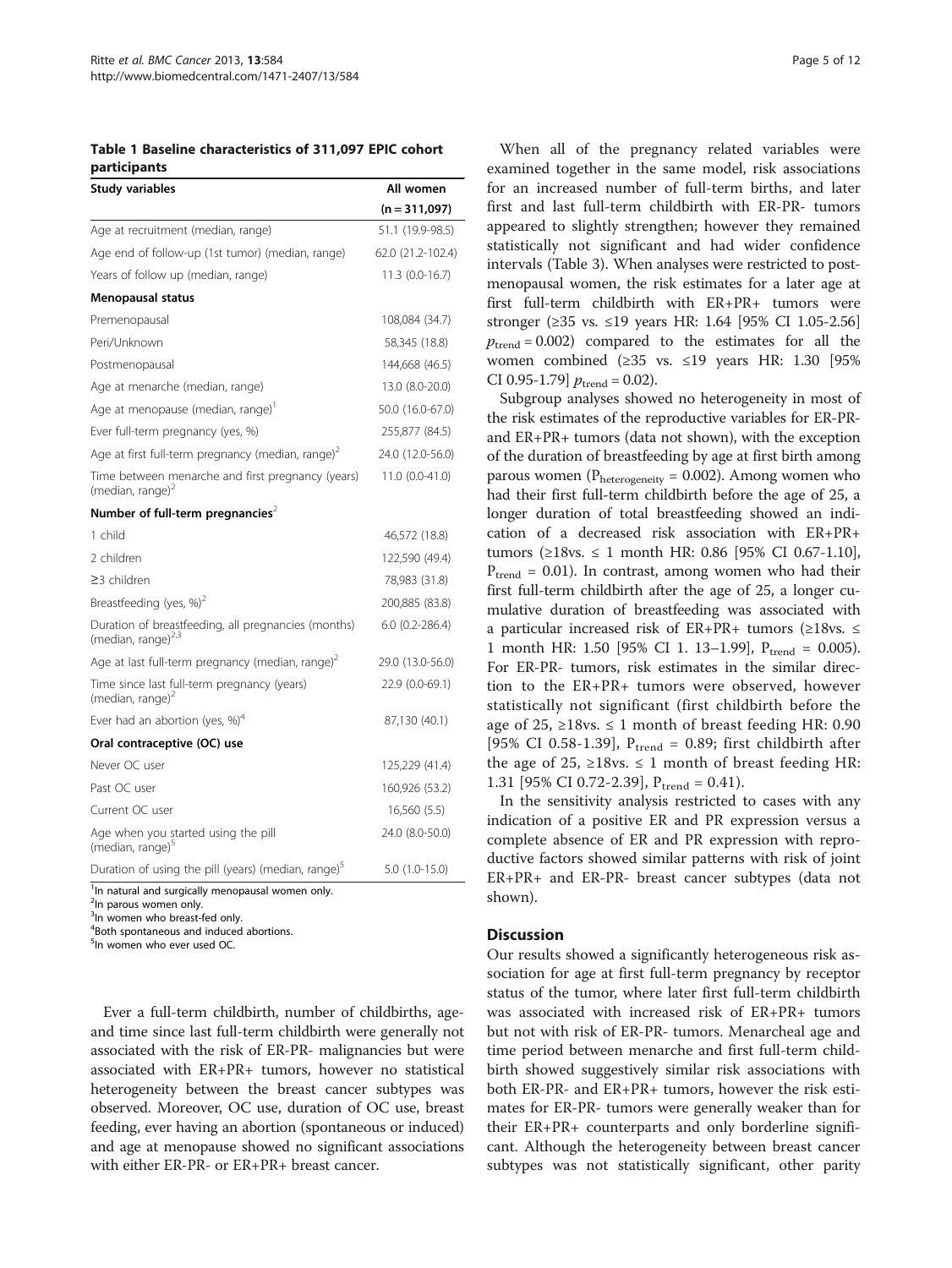<span id="page-4-0"></span>Table 1 Baseline characteristics of 311,097 EPIC cohort participants

| Study variables                                                                       | All women         |
|---------------------------------------------------------------------------------------|-------------------|
|                                                                                       | $(n = 311,097)$   |
| Age at recruitment (median, range)                                                    | 51.1 (19.9-98.5)  |
| Age end of follow-up (1st tumor) (median, range)                                      | 62.0 (21.2-102.4) |
| Years of follow up (median, range)                                                    | $11.3(0.0-16.7)$  |
| Menopausal status                                                                     |                   |
| Premenopausal                                                                         | 108,084 (34.7)    |
| Peri/Unknown                                                                          | 58,345 (18.8)     |
| Postmenopausal                                                                        | 144,668 (46.5)    |
| Age at menarche (median, range)                                                       | 13.0 (8.0-20.0)   |
| Age at menopause (median, range)'                                                     | 50.0 (16.0-67.0)  |
| Ever full-term pregnancy (yes, %)                                                     | 255,877 (84.5)    |
| Age at first full-term pregnancy (median, range) <sup>2</sup>                         | 24.0 (12.0-56.0)  |
| Time between menarche and first pregnancy (years)<br>(median, range) $2$              | 11.0 (0.0-41.0)   |
| Number of full-term pregnancies <sup>2</sup>                                          |                   |
| 1 child                                                                               | 46,572 (18.8)     |
| 2 children                                                                            | 122,590 (49.4)    |
| $\geq$ 3 children                                                                     | 78,983 (31.8)     |
| Breastfeeding (yes, %) <sup>2</sup>                                                   | 200,885 (83.8)    |
| Duration of breastfeeding, all pregnancies (months)<br>(median, range) <sup>2,3</sup> | $6.0$ (0.2-286.4) |
| Age at last full-term pregnancy (median, range) <sup>2</sup>                          | 29.0 (13.0-56.0)  |
| Time since last full-term pregnancy (years)<br>(median, range) $2$                    | 22.9 (0.0-69.1)   |
| Ever had an abortion (yes, $\%$ ) <sup>4</sup>                                        | 87,130 (40.1)     |
| Oral contraceptive (OC) use                                                           |                   |
| Never OC user                                                                         | 125,229 (41.4)    |
| Past OC user                                                                          | 160,926 (53.2)    |
| Current OC user                                                                       | 16,560 (5.5)      |
| Age when you started using the pill<br>(median, range) <sup>5</sup>                   | 24.0 (8.0-50.0)   |
| Duration of using the pill (years) (median, range) <sup>5</sup>                       | $5.0(1.0-15.0)$   |
| <sup>1</sup> In natural and surgically menopausal women only.                         |                   |

<sup>2</sup>In parous women only.

<sup>3</sup>In women who breast-fed only.

4 Both spontaneous and induced abortions.

<sup>5</sup>In women who ever used OC.

Ever a full-term childbirth, number of childbirths, ageand time since last full-term childbirth were generally not associated with the risk of ER-PR- malignancies but were associated with ER+PR+ tumors, however no statistical heterogeneity between the breast cancer subtypes was observed. Moreover, OC use, duration of OC use, breast feeding, ever having an abortion (spontaneous or induced) and age at menopause showed no significant associations with either ER-PR- or ER+PR+ breast cancer.

When all of the pregnancy related variables were examined together in the same model, risk associations for an increased number of full-term births, and later first and last full-term childbirth with ER-PR- tumors appeared to slightly strengthen; however they remained statistically not significant and had wider confidence intervals (Table [3](#page-7-0)). When analyses were restricted to postmenopausal women, the risk estimates for a later age at first full-term childbirth with ER+PR+ tumors were stronger (≥35 vs. ≤19 years HR: 1.64 [95% CI 1.05-2.56]  $p_{\text{trend}} = 0.002$ ) compared to the estimates for all the women combined (≥35 vs. ≤19 years HR: 1.30 [95% CI 0.95-1.79]  $p_{\text{trend}} = 0.02$ ).

Subgroup analyses showed no heterogeneity in most of the risk estimates of the reproductive variables for ER-PRand ER+PR+ tumors (data not shown), with the exception of the duration of breastfeeding by age at first birth among parous women ( $P<sub>heterogeneity</sub> = 0.002$ ). Among women who had their first full-term childbirth before the age of 25, a longer duration of total breastfeeding showed an indication of a decreased risk association with ER+PR+ tumors (≥18vs. ≤ 1 month HR: 0.86 [95% CI 0.67-1.10],  $P_{trend} = 0.01$ ). In contrast, among women who had their first full-term childbirth after the age of 25, a longer cumulative duration of breastfeeding was associated with a particular increased risk of ER+PR+ tumors ( $\geq$ 18vs.  $\leq$ 1 month HR: 1.50 [95% CI 1. 13-1.99],  $P_{trend} = 0.005$ ). For ER-PR- tumors, risk estimates in the similar direction to the ER+PR+ tumors were observed, however statistically not significant (first childbirth before the age of 25, ≥18vs.  $\leq$  1 month of breast feeding HR: 0.90 [95% CI 0.58-1.39],  $P_{trend} = 0.89$ ; first childbirth after the age of 25,  $\geq 18$ vs.  $\leq 1$  month of breast feeding HR: 1.31 [95% CI 0.72-2.39],  $P_{trend} = 0.41$ .

In the sensitivity analysis restricted to cases with any indication of a positive ER and PR expression versus a complete absence of ER and PR expression with reproductive factors showed similar patterns with risk of joint ER+PR+ and ER-PR- breast cancer subtypes (data not shown).

#### **Discussion**

Our results showed a significantly heterogeneous risk association for age at first full-term pregnancy by receptor status of the tumor, where later first full-term childbirth was associated with increased risk of ER+PR+ tumors but not with risk of ER-PR- tumors. Menarcheal age and time period between menarche and first full-term childbirth showed suggestively similar risk associations with both ER-PR- and ER+PR+ tumors, however the risk estimates for ER-PR- tumors were generally weaker than for their ER+PR+ counterparts and only borderline significant. Although the heterogeneity between breast cancer subtypes was not statistically significant, other parity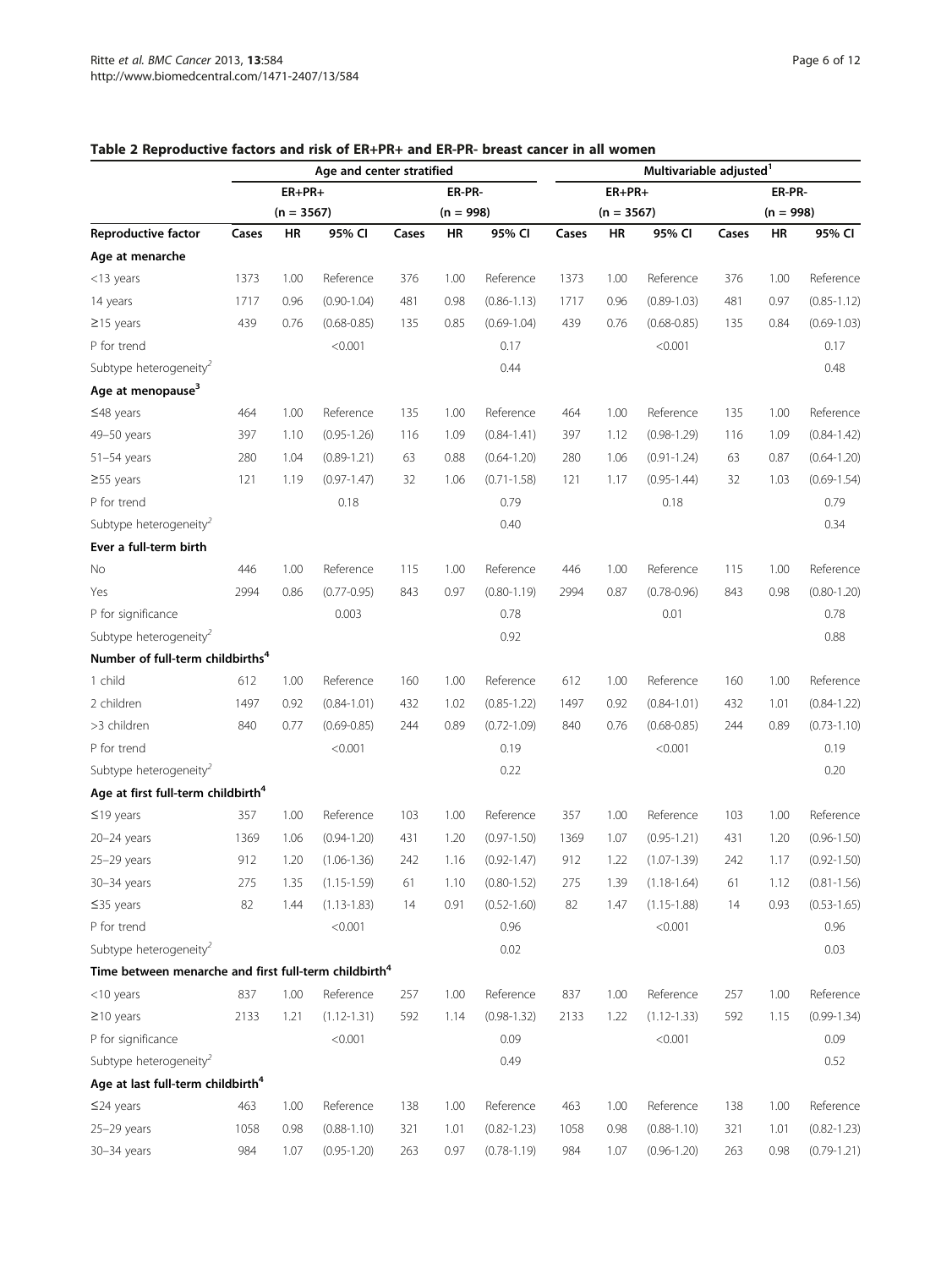|                                                                   | Age and center stratified |              |                 |       |             |                 |       | Multivariable adjusted <sup>1</sup> |                 |        |             |                 |  |  |  |
|-------------------------------------------------------------------|---------------------------|--------------|-----------------|-------|-------------|-----------------|-------|-------------------------------------|-----------------|--------|-------------|-----------------|--|--|--|
|                                                                   |                           | $ER+PR+$     |                 |       | ER-PR-      |                 |       | $ER+PR+$                            |                 | ER-PR- |             |                 |  |  |  |
|                                                                   |                           | $(n = 3567)$ |                 |       | $(n = 998)$ |                 |       | $(n = 3567)$                        |                 |        | $(n = 998)$ |                 |  |  |  |
| Reproductive factor                                               | Cases                     | HR           | 95% CI          | Cases | HR          | 95% CI          | Cases | ΗR                                  | 95% CI          | Cases  | HR          | 95% CI          |  |  |  |
| Age at menarche                                                   |                           |              |                 |       |             |                 |       |                                     |                 |        |             |                 |  |  |  |
| <13 years                                                         | 1373                      | 1.00         | Reference       | 376   | 1.00        | Reference       | 1373  | 1.00                                | Reference       | 376    | 1.00        | Reference       |  |  |  |
| 14 years                                                          | 1717                      | 0.96         | $(0.90 - 1.04)$ | 481   | 0.98        | $(0.86 - 1.13)$ | 1717  | 0.96                                | $(0.89 - 1.03)$ | 481    | 0.97        | $(0.85 - 1.12)$ |  |  |  |
| $\geq$ 15 years                                                   | 439                       | 0.76         | $(0.68 - 0.85)$ | 135   | 0.85        | $(0.69 - 1.04)$ | 439   | 0.76                                | $(0.68 - 0.85)$ | 135    | 0.84        | $(0.69 - 1.03)$ |  |  |  |
| P for trend                                                       |                           |              | < 0.001         |       |             | 0.17            |       |                                     | < 0.001         |        |             | 0.17            |  |  |  |
| Subtype heterogeneity                                             |                           |              |                 |       |             | 0.44            |       |                                     |                 |        |             | 0.48            |  |  |  |
| Age at menopause <sup>3</sup>                                     |                           |              |                 |       |             |                 |       |                                     |                 |        |             |                 |  |  |  |
| $≤48$ years                                                       | 464                       | 1.00         | Reference       | 135   | 1.00        | Reference       | 464   | 1.00                                | Reference       | 135    | 1.00        | Reference       |  |  |  |
| 49-50 years                                                       | 397                       | 1.10         | $(0.95 - 1.26)$ | 116   | 1.09        | $(0.84 - 1.41)$ | 397   | 1.12                                | $(0.98 - 1.29)$ | 116    | 1.09        | $(0.84 - 1.42)$ |  |  |  |
| $51-54$ years                                                     | 280                       | 1.04         | $(0.89 - 1.21)$ | 63    | 0.88        | $(0.64 - 1.20)$ | 280   | 1.06                                | $(0.91 - 1.24)$ | 63     | 0.87        | $(0.64 - 1.20)$ |  |  |  |
| $\geq$ 55 years                                                   | 121                       | 1.19         | $(0.97 - 1.47)$ | 32    | 1.06        | $(0.71 - 1.58)$ | 121   | 1.17                                | $(0.95 - 1.44)$ | 32     | 1.03        | $(0.69 - 1.54)$ |  |  |  |
| P for trend                                                       |                           |              | 0.18            |       |             | 0.79            |       |                                     | 0.18            |        |             | 0.79            |  |  |  |
| Subtype heterogeneity <sup>2</sup>                                |                           |              |                 |       |             | 0.40            |       |                                     |                 |        |             | 0.34            |  |  |  |
| Ever a full-term birth                                            |                           |              |                 |       |             |                 |       |                                     |                 |        |             |                 |  |  |  |
| No                                                                | 446                       | 1.00         | Reference       | 115   | 1.00        | Reference       | 446   | 1.00                                | Reference       | 115    | 1.00        | Reference       |  |  |  |
| Yes                                                               | 2994                      | 0.86         | $(0.77 - 0.95)$ | 843   | 0.97        | $(0.80 - 1.19)$ | 2994  | 0.87                                | $(0.78 - 0.96)$ | 843    | 0.98        | $(0.80 - 1.20)$ |  |  |  |
| P for significance                                                |                           |              | 0.003           |       |             | 0.78            |       |                                     | 0.01            |        |             | 0.78            |  |  |  |
| Subtype heterogeneity <sup>2</sup>                                |                           |              |                 |       |             | 0.92            |       |                                     |                 |        |             | 0.88            |  |  |  |
| Number of full-term childbirths <sup>4</sup>                      |                           |              |                 |       |             |                 |       |                                     |                 |        |             |                 |  |  |  |
| 1 child                                                           | 612                       | 1.00         | Reference       | 160   | 1.00        | Reference       | 612   | 1.00                                | Reference       | 160    | 1.00        | Reference       |  |  |  |
| 2 children                                                        | 1497                      | 0.92         | $(0.84 - 1.01)$ | 432   | 1.02        | $(0.85 - 1.22)$ | 1497  | 0.92                                | $(0.84 - 1.01)$ | 432    | 1.01        | $(0.84 - 1.22)$ |  |  |  |
| >3 children                                                       | 840                       | 0.77         | $(0.69 - 0.85)$ | 244   | 0.89        | $(0.72 - 1.09)$ | 840   | 0.76                                | $(0.68 - 0.85)$ | 244    | 0.89        | $(0.73 - 1.10)$ |  |  |  |
| P for trend                                                       |                           |              | < 0.001         |       |             | 0.19            |       |                                     | < 0.001         |        |             | 0.19            |  |  |  |
| Subtype heterogeneity                                             |                           |              |                 |       |             | 0.22            |       |                                     |                 |        |             | 0.20            |  |  |  |
| Age at first full-term childbirth <sup>4</sup>                    |                           |              |                 |       |             |                 |       |                                     |                 |        |             |                 |  |  |  |
| $≤19$ years                                                       | 357                       | 1.00         | Reference       | 103   | 1.00        | Reference       | 357   | 1.00                                | Reference       | 103    | 1.00        | Reference       |  |  |  |
| $20 - 24$ years                                                   | 1369                      | 1.06         | $(0.94 - 1.20)$ | 431   | 1.20        | $(0.97 - 1.50)$ | 1369  | 1.07                                | $(0.95 - 1.21)$ | 431    | 1.20        | $(0.96 - 1.50)$ |  |  |  |
| $25-29$ years                                                     | 912                       | 1.20         | $(1.06 - 1.36)$ | 242   | 1.16        | $(0.92 - 1.47)$ | 912   | 1.22                                | $(1.07 - 1.39)$ | 242    | 1.17        | $(0.92 - 1.50)$ |  |  |  |
| 30-34 years                                                       | 275                       | 1.35         | $(1.15 - 1.59)$ | 61    | 1.10        | $(0.80 - 1.52)$ | 275   | 1.39                                | $(1.18 - 1.64)$ | 61     | 1.12        | $(0.81 - 1.56)$ |  |  |  |
| $≤35$ years                                                       | 82                        | 1.44         | $(1.13 - 1.83)$ | 14    | 0.91        | $(0.52 - 1.60)$ | 82    | 1.47                                | $(1.15 - 1.88)$ | 14     | 0.93        | $(0.53 - 1.65)$ |  |  |  |
| P for trend                                                       |                           |              | < 0.001         |       |             | 0.96            |       |                                     | < 0.001         |        |             | 0.96            |  |  |  |
| Subtype heterogeneity <sup>2</sup>                                |                           |              |                 |       |             | 0.02            |       |                                     |                 |        |             | 0.03            |  |  |  |
| Time between menarche and first full-term childbirth <sup>4</sup> |                           |              |                 |       |             |                 |       |                                     |                 |        |             |                 |  |  |  |
| $<$ 10 years                                                      | 837                       | 1.00         | Reference       | 257   | 1.00        | Reference       | 837   | 1.00                                | Reference       | 257    | 1.00        | Reference       |  |  |  |
| $\geq$ 10 years                                                   | 2133                      | 1.21         | $(1.12 - 1.31)$ | 592   | 1.14        | $(0.98 - 1.32)$ | 2133  | 1.22                                | $(1.12 - 1.33)$ | 592    | 1.15        | $(0.99 - 1.34)$ |  |  |  |
| P for significance                                                |                           |              | < 0.001         |       |             | 0.09            |       |                                     | < 0.001         |        |             | 0.09            |  |  |  |
| Subtype heterogeneity <sup>2</sup>                                |                           |              |                 |       |             | 0.49            |       |                                     |                 |        |             | 0.52            |  |  |  |
| Age at last full-term childbirth <sup>4</sup>                     |                           |              |                 |       |             |                 |       |                                     |                 |        |             |                 |  |  |  |
| $\leq$ 24 years                                                   | 463                       | 1.00         | Reference       | 138   | 1.00        | Reference       | 463   | 1.00                                | Reference       | 138    | 1.00        | Reference       |  |  |  |
| $25-29$ years                                                     | 1058                      | 0.98         | $(0.88 - 1.10)$ | 321   | 1.01        | $(0.82 - 1.23)$ | 1058  | 0.98                                | $(0.88 - 1.10)$ | 321    | 1.01        | $(0.82 - 1.23)$ |  |  |  |
| 30-34 years                                                       | 984                       | 1.07         | $(0.95 - 1.20)$ | 263   | 0.97        | $(0.78 - 1.19)$ | 984   | 1.07                                | $(0.96 - 1.20)$ | 263    | 0.98        | $(0.79 - 1.21)$ |  |  |  |

## <span id="page-5-0"></span>Table 2 Reproductive factors and risk of ER+PR+ and ER-PR- breast cancer in all women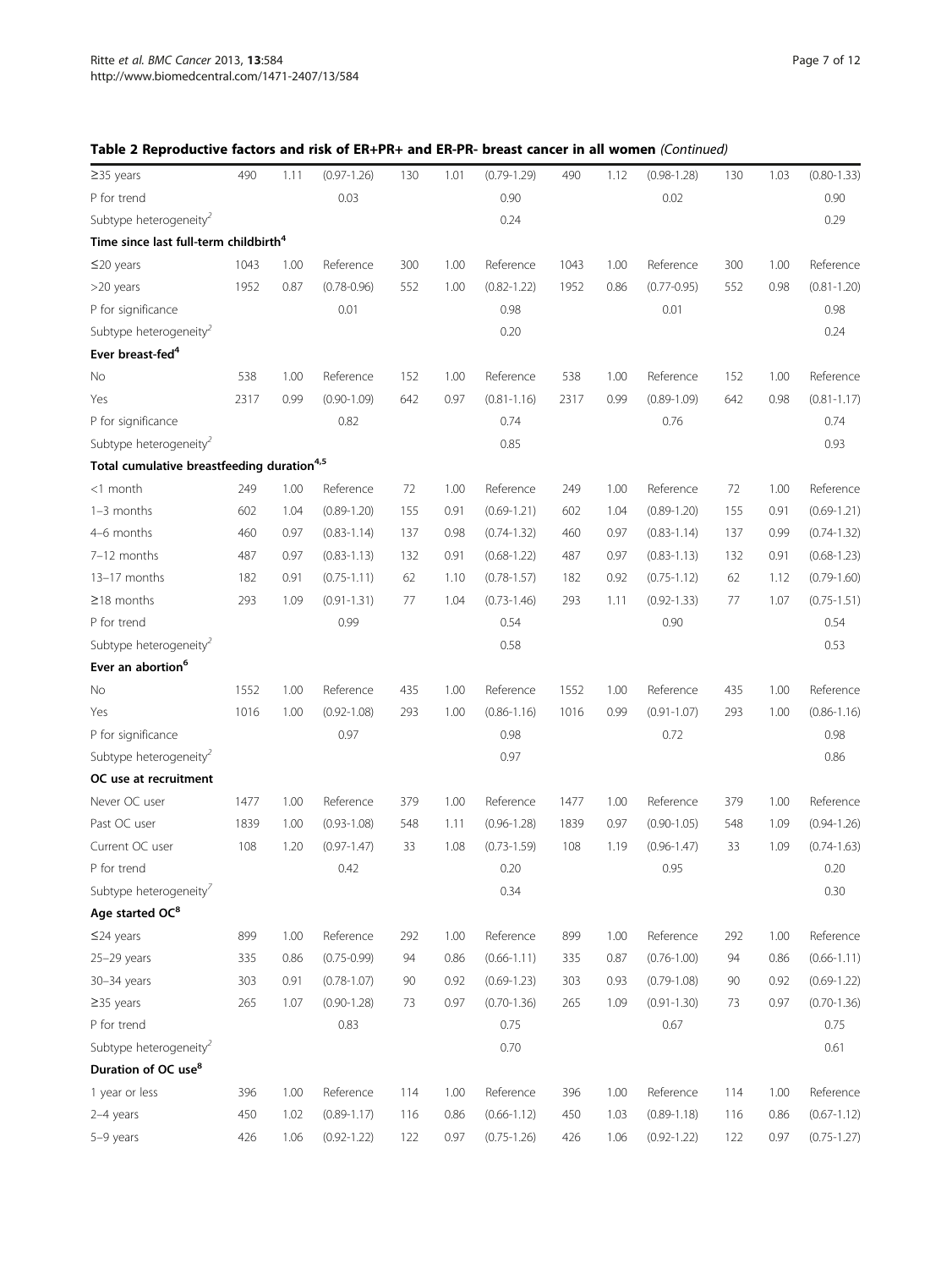| $\geq$ 35 years                                        | 490  | 1.11 | $(0.97 - 1.26)$ | 130 | 1.01 | $(0.79 - 1.29)$ | 490  | 1.12 | $(0.98 - 1.28)$ | 130 | 1.03 | $(0.80 - 1.33)$ |
|--------------------------------------------------------|------|------|-----------------|-----|------|-----------------|------|------|-----------------|-----|------|-----------------|
| P for trend                                            |      |      | 0.03            |     |      | 0.90            |      |      | 0.02            |     |      | 0.90            |
| Subtype heterogeneity <sup>2</sup>                     |      |      |                 |     |      | 0.24            |      |      |                 |     |      | 0.29            |
| Time since last full-term childbirth <sup>4</sup>      |      |      |                 |     |      |                 |      |      |                 |     |      |                 |
| $\leq$ 20 years                                        | 1043 | 1.00 | Reference       | 300 | 1.00 | Reference       | 1043 | 1.00 | Reference       | 300 | 1.00 | Reference       |
| >20 years                                              | 1952 | 0.87 | $(0.78 - 0.96)$ | 552 | 1.00 | $(0.82 - 1.22)$ | 1952 | 0.86 | $(0.77 - 0.95)$ | 552 | 0.98 | $(0.81 - 1.20)$ |
| P for significance                                     |      |      | 0.01            |     |      | 0.98            |      |      | 0.01            |     |      | 0.98            |
| Subtype heterogeneity <sup>2</sup>                     |      |      |                 |     |      | 0.20            |      |      |                 |     |      | 0.24            |
| Ever breast-fed <sup>4</sup>                           |      |      |                 |     |      |                 |      |      |                 |     |      |                 |
| No                                                     | 538  | 1.00 | Reference       | 152 | 1.00 | Reference       | 538  | 1.00 | Reference       | 152 | 1.00 | Reference       |
| Yes                                                    | 2317 | 0.99 | $(0.90 - 1.09)$ | 642 | 0.97 | $(0.81 - 1.16)$ | 2317 | 0.99 | $(0.89 - 1.09)$ | 642 | 0.98 | $(0.81 - 1.17)$ |
| P for significance                                     |      |      | 0.82            |     |      | 0.74            |      |      | 0.76            |     |      | 0.74            |
| Subtype heterogeneity <sup>2</sup>                     |      |      |                 |     |      | 0.85            |      |      |                 |     |      | 0.93            |
| Total cumulative breastfeeding duration <sup>4,5</sup> |      |      |                 |     |      |                 |      |      |                 |     |      |                 |
| <1 month                                               | 249  | 1.00 | Reference       | 72  | 1.00 | Reference       | 249  | 1.00 | Reference       | 72  | 1.00 | Reference       |
| $1-3$ months                                           | 602  | 1.04 | $(0.89 - 1.20)$ | 155 | 0.91 | $(0.69 - 1.21)$ | 602  | 1.04 | $(0.89 - 1.20)$ | 155 | 0.91 | $(0.69 - 1.21)$ |
| 4-6 months                                             | 460  | 0.97 | $(0.83 - 1.14)$ | 137 | 0.98 | $(0.74 - 1.32)$ | 460  | 0.97 | $(0.83 - 1.14)$ | 137 | 0.99 | $(0.74 - 1.32)$ |
| 7-12 months                                            | 487  | 0.97 | $(0.83 - 1.13)$ | 132 | 0.91 | $(0.68 - 1.22)$ | 487  | 0.97 | $(0.83 - 1.13)$ | 132 | 0.91 | $(0.68 - 1.23)$ |
| 13-17 months                                           | 182  | 0.91 | $(0.75 - 1.11)$ | 62  | 1.10 | $(0.78 - 1.57)$ | 182  | 0.92 | $(0.75 - 1.12)$ | 62  | 1.12 | $(0.79 - 1.60)$ |
| $\geq$ 18 months                                       | 293  | 1.09 | $(0.91 - 1.31)$ | 77  | 1.04 | $(0.73 - 1.46)$ | 293  | 1.11 | $(0.92 - 1.33)$ | 77  | 1.07 | $(0.75 - 1.51)$ |
| P for trend                                            |      |      | 0.99            |     |      | 0.54            |      |      | 0.90            |     |      | 0.54            |
| Subtype heterogeneity <sup>2</sup>                     |      |      |                 |     |      | 0.58            |      |      |                 |     |      | 0.53            |
| Ever an abortion <sup>6</sup>                          |      |      |                 |     |      |                 |      |      |                 |     |      |                 |
| No                                                     | 1552 | 1.00 | Reference       | 435 | 1.00 | Reference       | 1552 | 1.00 | Reference       | 435 | 1.00 | Reference       |
| Yes                                                    | 1016 | 1.00 | $(0.92 - 1.08)$ | 293 | 1.00 | $(0.86 - 1.16)$ | 1016 | 0.99 | $(0.91 - 1.07)$ | 293 | 1.00 | $(0.86 - 1.16)$ |
| P for significance                                     |      |      | 0.97            |     |      | 0.98            |      |      | 0.72            |     |      | 0.98            |
| Subtype heterogeneity                                  |      |      |                 |     |      | 0.97            |      |      |                 |     |      | 0.86            |
| OC use at recruitment                                  |      |      |                 |     |      |                 |      |      |                 |     |      |                 |
| Never OC user                                          | 1477 | 1.00 | Reference       | 379 | 1.00 | Reference       | 1477 | 1.00 | Reference       | 379 | 1.00 | Reference       |
| Past OC user                                           | 1839 | 1.00 | $(0.93 - 1.08)$ | 548 | 1.11 | $(0.96 - 1.28)$ | 1839 | 0.97 | $(0.90 - 1.05)$ | 548 | 1.09 | $(0.94 - 1.26)$ |
| Current OC user                                        | 108  | 1.20 | $(0.97 - 1.47)$ | 33  | 1.08 | $(0.73 - 1.59)$ | 108  | 1.19 | $(0.96 - 1.47)$ | 33  | 1.09 | $(0.74 - 1.63)$ |
| P for trend                                            |      |      | 0.42            |     |      | 0.20            |      |      | 0.95            |     |      | 0.20            |
| Subtype heterogeneity <sup>7</sup>                     |      |      |                 |     |      | 0.34            |      |      |                 |     |      | 0.30            |
| Age started OC <sup>8</sup>                            |      |      |                 |     |      |                 |      |      |                 |     |      |                 |
| $≤$ 24 years                                           | 899  | 1.00 | Reference       | 292 | 1.00 | Reference       | 899  | 1.00 | Reference       | 292 | 1.00 | Reference       |
| $25-29$ years                                          | 335  | 0.86 | $(0.75 - 0.99)$ | 94  | 0.86 | $(0.66 - 1.11)$ | 335  | 0.87 | $(0.76 - 1.00)$ | 94  | 0.86 | $(0.66 - 1.11)$ |
| 30-34 years                                            | 303  | 0.91 | $(0.78 - 1.07)$ | 90  | 0.92 | $(0.69 - 1.23)$ | 303  | 0.93 | $(0.79 - 1.08)$ | 90  | 0.92 | $(0.69 - 1.22)$ |
| $\geq$ 35 years                                        | 265  | 1.07 | $(0.90 - 1.28)$ | 73  | 0.97 | $(0.70 - 1.36)$ | 265  | 1.09 | $(0.91 - 1.30)$ | 73  | 0.97 | $(0.70-1.36)$   |
| P for trend                                            |      |      | 0.83            |     |      | 0.75            |      |      | 0.67            |     |      | 0.75            |
| Subtype heterogeneity <sup>2</sup>                     |      |      |                 |     |      | 0.70            |      |      |                 |     |      | 0.61            |
| Duration of OC use <sup>8</sup>                        |      |      |                 |     |      |                 |      |      |                 |     |      |                 |
| 1 year or less                                         | 396  | 1.00 | Reference       | 114 | 1.00 | Reference       | 396  | 1.00 | Reference       | 114 | 1.00 | Reference       |
| 2-4 years                                              | 450  | 1.02 | $(0.89 - 1.17)$ | 116 | 0.86 | $(0.66 - 1.12)$ | 450  | 1.03 | $(0.89 - 1.18)$ | 116 | 0.86 | $(0.67 - 1.12)$ |
| 5-9 years                                              | 426  | 1.06 | $(0.92 - 1.22)$ | 122 | 0.97 | $(0.75 - 1.26)$ | 426  | 1.06 | $(0.92 - 1.22)$ | 122 | 0.97 | $(0.75 - 1.27)$ |
|                                                        |      |      |                 |     |      |                 |      |      |                 |     |      |                 |

## Table 2 Reproductive factors and risk of ER+PR+ and ER-PR- breast cancer in all women (Continued)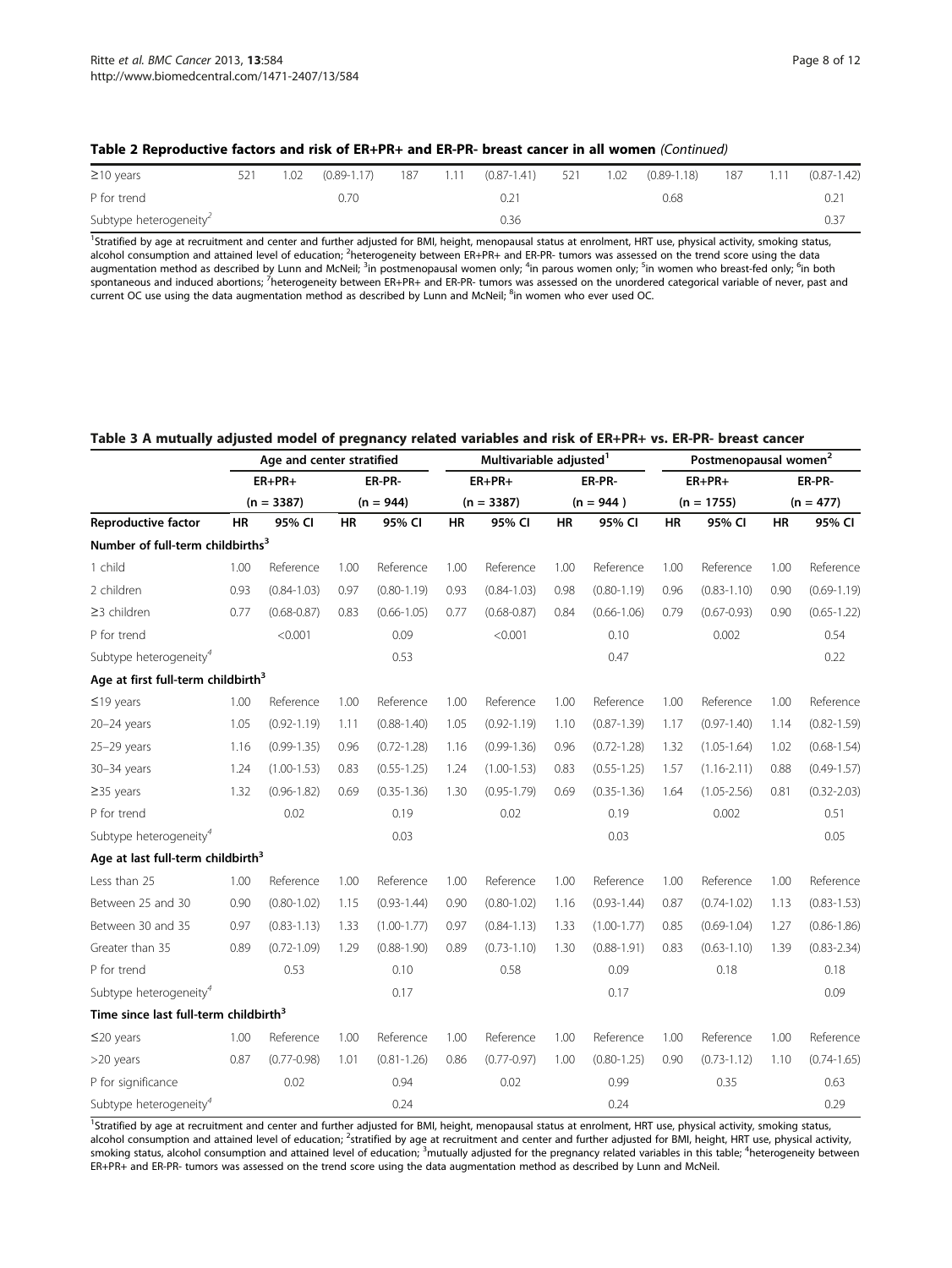| $\geq$ 10 years                    | 1.02 |      |  | (0.89-1.17) 187 1.11 (0.87-1.41) 521 |  | 1.02 (0.89-1.18) 187 1.11 |  | $(0.87 - 1.42)$ |
|------------------------------------|------|------|--|--------------------------------------|--|---------------------------|--|-----------------|
| P for trend                        |      | 0.70 |  | 0.21                                 |  | 0.68                      |  |                 |
| Subtype heterogeneity <sup>2</sup> |      |      |  | 0.36                                 |  |                           |  |                 |

## <span id="page-7-0"></span>Table 2 Reproductive factors and risk of ER+PR+ and ER-PR- breast cancer in all women (Continued)

<sup>1</sup>Stratified by age at recruitment and center and further adjusted for BMI, height, menopausal status at enrolment, HRT use, physical activity, smoking status, alcohol consumption and attained level of education; <sup>2</sup>heterogeneity between ER+PR+ and ER-PR- tumors was assessed on the trend score using the data augmentation method as described by Lunn and McNeil; <sup>3</sup>in postmenopausal women only; <sup>4</sup>in parous women only; <sup>5</sup>in women who breast-fed only; <sup>6</sup>in both spontaneous and induced abortions; <sup>7</sup>heterogeneity between ER+PR+ and ER-PR- tumors was assessed on the unordered categorical variable of never, past and current OC use using the data augmentation method as described by Lunn and McNeil; <sup>8</sup>in women who ever used OC.

|  |  | Table 3 A mutually adjusted model of pregnancy related variables and risk of ER+PR+ vs. ER-PR- breast cancer |
|--|--|--------------------------------------------------------------------------------------------------------------|
|--|--|--------------------------------------------------------------------------------------------------------------|

|                                                   | Age and center stratified |                 |             |                 |           | Multivariable adjusted <sup>1</sup> |           |                 | Postmenopausal women <sup>2</sup> |                 |             |                 |
|---------------------------------------------------|---------------------------|-----------------|-------------|-----------------|-----------|-------------------------------------|-----------|-----------------|-----------------------------------|-----------------|-------------|-----------------|
|                                                   |                           | $ER+PR+$        |             | ER-PR-          |           | $ER+PR+$                            |           | ER-PR-          |                                   | $ER+PR+$        |             | ER-PR-          |
|                                                   | $(n = 3387)$              |                 | $(n = 944)$ |                 |           | $(n = 3387)$                        |           | $(n = 944)$     |                                   | $(n = 1755)$    | $(n = 477)$ |                 |
| Reproductive factor                               | <b>HR</b>                 | 95% CI          | <b>HR</b>   | 95% CI          | <b>HR</b> | 95% CI                              | <b>HR</b> | 95% CI          | HR                                | 95% CI          | <b>HR</b>   | 95% CI          |
| Number of full-term childbirths <sup>3</sup>      |                           |                 |             |                 |           |                                     |           |                 |                                   |                 |             |                 |
| 1 child                                           | 1.00                      | Reference       | 1.00        | Reference       | 1.00      | Reference                           | 1.00      | Reference       | 1.00                              | Reference       | 1.00        | Reference       |
| 2 children                                        | 0.93                      | $(0.84 - 1.03)$ | 0.97        | $(0.80 - 1.19)$ | 0.93      | $(0.84 - 1.03)$                     | 0.98      | $(0.80 - 1.19)$ | 0.96                              | $(0.83 - 1.10)$ | 0.90        | $(0.69 - 1.19)$ |
| ≥3 children                                       | 0.77                      | $(0.68 - 0.87)$ | 0.83        | $(0.66 - 1.05)$ | 0.77      | $(0.68 - 0.87)$                     | 0.84      | $(0.66 - 1.06)$ | 0.79                              | $(0.67 - 0.93)$ | 0.90        | $(0.65 - 1.22)$ |
| P for trend                                       |                           | < 0.001         |             | 0.09            |           | < 0.001                             |           | 0.10            |                                   | 0.002           |             | 0.54            |
| Subtype heterogeneity <sup>4</sup>                |                           |                 |             | 0.53            |           |                                     |           | 0.47            |                                   |                 |             | 0.22            |
| Age at first full-term childbirth <sup>3</sup>    |                           |                 |             |                 |           |                                     |           |                 |                                   |                 |             |                 |
| $≤19$ years                                       | 1.00                      | Reference       | 1.00        | Reference       | 1.00      | Reference                           | 1.00      | Reference       | 1.00                              | Reference       | 1.00        | Reference       |
| $20 - 24$ years                                   | 1.05                      | $(0.92 - 1.19)$ | 1.11        | $(0.88 - 1.40)$ | 1.05      | $(0.92 - 1.19)$                     | 1.10      | $(0.87 - 1.39)$ | 1.17                              | $(0.97 - 1.40)$ | 1.14        | $(0.82 - 1.59)$ |
| $25-29$ years                                     | 1.16                      | $(0.99 - 1.35)$ | 0.96        | $(0.72 - 1.28)$ | 1.16      | $(0.99 - 1.36)$                     | 0.96      | $(0.72 - 1.28)$ | 1.32                              | $(1.05 - 1.64)$ | 1.02        | $(0.68 - 1.54)$ |
| 30-34 years                                       | 1.24                      | $(1.00 - 1.53)$ | 0.83        | $(0.55 - 1.25)$ | 1.24      | $(1.00 - 1.53)$                     | 0.83      | $(0.55 - 1.25)$ | 1.57                              | $(1.16 - 2.11)$ | 0.88        | $(0.49 - 1.57)$ |
| $\geq$ 35 years                                   | 1.32                      | $(0.96 - 1.82)$ | 0.69        | $(0.35 - 1.36)$ | 1.30      | $(0.95 - 1.79)$                     | 0.69      | $(0.35 - 1.36)$ | 1.64                              | $(1.05 - 2.56)$ | 0.81        | $(0.32 - 2.03)$ |
| P for trend                                       |                           | 0.02            |             | 0.19            |           | 0.02                                |           | 0.19            |                                   | 0.002           |             | 0.51            |
| Subtype heterogeneity <sup>4</sup>                |                           |                 |             | 0.03            |           |                                     |           | 0.03            |                                   |                 |             | 0.05            |
| Age at last full-term childbirth <sup>3</sup>     |                           |                 |             |                 |           |                                     |           |                 |                                   |                 |             |                 |
| Less than 25                                      | 1.00                      | Reference       | 1.00        | Reference       | 1.00      | Reference                           | 1.00      | Reference       | 1.00                              | Reference       | 1.00        | Reference       |
| Between 25 and 30                                 | 0.90                      | $(0.80 - 1.02)$ | 1.15        | $(0.93 - 1.44)$ | 0.90      | $(0.80 - 1.02)$                     | 1.16      | $(0.93 - 1.44)$ | 0.87                              | $(0.74 - 1.02)$ | 1.13        | $(0.83 - 1.53)$ |
| Between 30 and 35                                 | 0.97                      | $(0.83 - 1.13)$ | 1.33        | $(1.00 - 1.77)$ | 0.97      | $(0.84 - 1.13)$                     | 1.33      | $(1.00 - 1.77)$ | 0.85                              | $(0.69 - 1.04)$ | 1.27        | $(0.86 - 1.86)$ |
| Greater than 35                                   | 0.89                      | $(0.72 - 1.09)$ | 1.29        | $(0.88 - 1.90)$ | 0.89      | $(0.73 - 1.10)$                     | 1.30      | $(0.88 - 1.91)$ | 0.83                              | $(0.63 - 1.10)$ | 1.39        | $(0.83 - 2.34)$ |
| P for trend                                       |                           | 0.53            |             | 0.10            |           | 0.58                                |           | 0.09            |                                   | 0.18            |             | 0.18            |
| Subtype heterogeneity <sup>4</sup>                |                           |                 |             | 0.17            |           |                                     |           | 0.17            |                                   |                 |             | 0.09            |
| Time since last full-term childbirth <sup>3</sup> |                           |                 |             |                 |           |                                     |           |                 |                                   |                 |             |                 |
| $≤20$ years                                       | 1.00                      | Reference       | 1.00        | Reference       | 1.00      | Reference                           | 1.00      | Reference       | 1.00                              | Reference       | 1.00        | Reference       |
| >20 years                                         | 0.87                      | $(0.77 - 0.98)$ | 1.01        | $(0.81 - 1.26)$ | 0.86      | $(0.77 - 0.97)$                     | 1.00      | $(0.80 - 1.25)$ | 0.90                              | $(0.73 - 1.12)$ | 1.10        | $(0.74 - 1.65)$ |
| P for significance                                |                           | 0.02            |             | 0.94            |           | 0.02                                |           | 0.99            |                                   | 0.35            |             | 0.63            |
| Subtype heterogeneity <sup>4</sup>                |                           |                 |             | 0.24            |           |                                     |           | 0.24            |                                   |                 |             | 0.29            |

<sup>1</sup>Stratified by age at recruitment and center and further adjusted for BMI, height, menopausal status at enrolment, HRT use, physical activity, smoking status, alcohol consumption and attained level of education; <sup>2</sup>stratified by age at recruitment and center and further adjusted for BMI, height, HRT use, physical activity, smoking status, alcohol consumption and attained level of education; <sup>3</sup>mutually adjusted for the pregnancy related variables in this table; <sup>4</sup>heterogeneity between ER+PR+ and ER-PR- tumors was assessed on the trend score using the data augmentation method as described by Lunn and McNeil.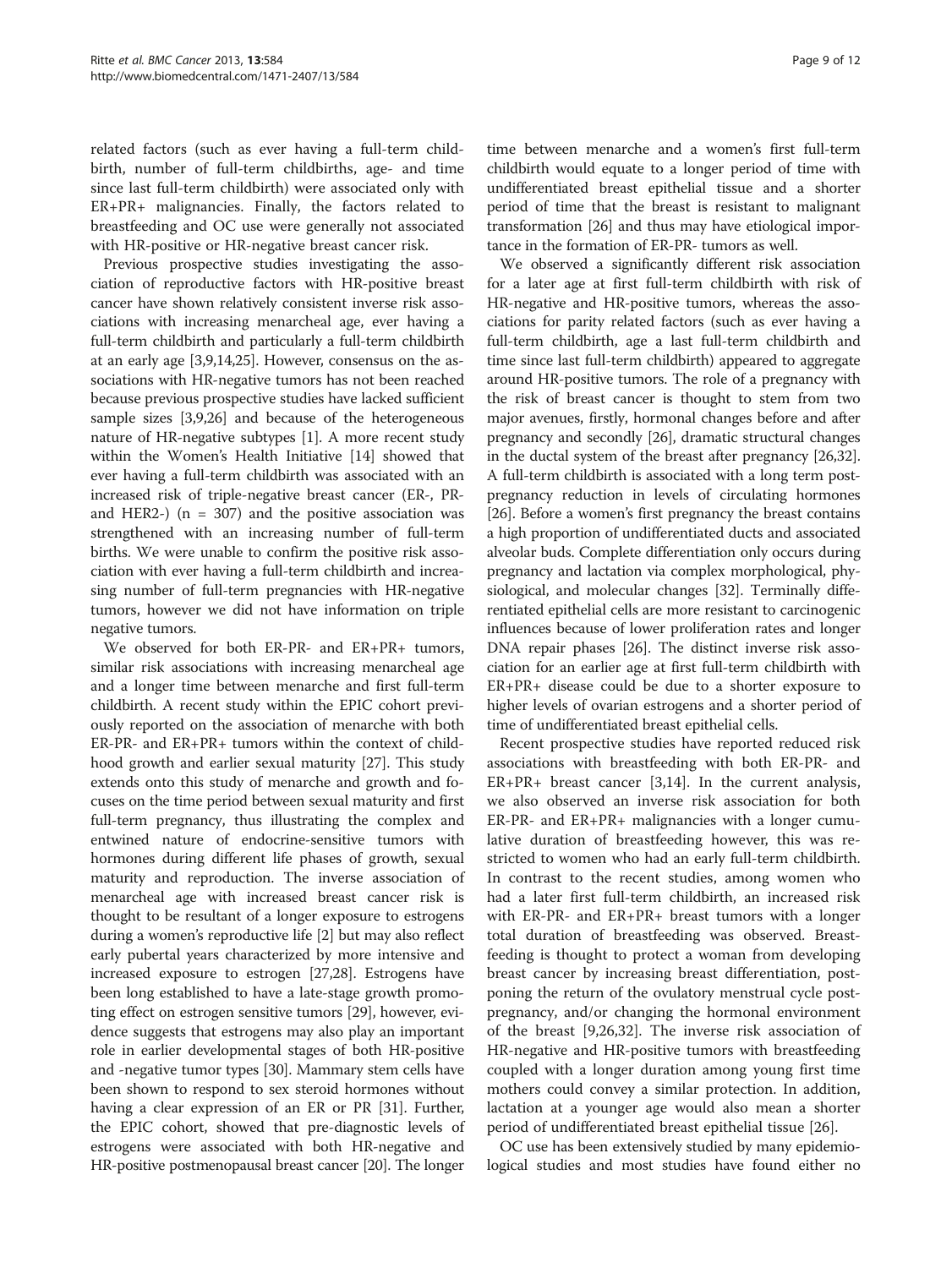related factors (such as ever having a full-term childbirth, number of full-term childbirths, age- and time since last full-term childbirth) were associated only with ER+PR+ malignancies. Finally, the factors related to breastfeeding and OC use were generally not associated with HR-positive or HR-negative breast cancer risk.

Previous prospective studies investigating the association of reproductive factors with HR-positive breast cancer have shown relatively consistent inverse risk associations with increasing menarcheal age, ever having a full-term childbirth and particularly a full-term childbirth at an early age [[3,9,14](#page-10-0)[,25\]](#page-11-0). However, consensus on the associations with HR-negative tumors has not been reached because previous prospective studies have lacked sufficient sample sizes [[3](#page-10-0),[9](#page-10-0)[,26](#page-11-0)] and because of the heterogeneous nature of HR-negative subtypes [[1\]](#page-10-0). A more recent study within the Women's Health Initiative [\[14\]](#page-10-0) showed that ever having a full-term childbirth was associated with an increased risk of triple-negative breast cancer (ER-, PRand HER2-)  $(n = 307)$  and the positive association was strengthened with an increasing number of full-term births. We were unable to confirm the positive risk association with ever having a full-term childbirth and increasing number of full-term pregnancies with HR-negative tumors, however we did not have information on triple negative tumors.

We observed for both ER-PR- and ER+PR+ tumors, similar risk associations with increasing menarcheal age and a longer time between menarche and first full-term childbirth. A recent study within the EPIC cohort previously reported on the association of menarche with both ER-PR- and ER+PR+ tumors within the context of childhood growth and earlier sexual maturity [\[27\]](#page-11-0). This study extends onto this study of menarche and growth and focuses on the time period between sexual maturity and first full-term pregnancy, thus illustrating the complex and entwined nature of endocrine-sensitive tumors with hormones during different life phases of growth, sexual maturity and reproduction. The inverse association of menarcheal age with increased breast cancer risk is thought to be resultant of a longer exposure to estrogens during a women's reproductive life [\[2](#page-10-0)] but may also reflect early pubertal years characterized by more intensive and increased exposure to estrogen [\[27,28\]](#page-11-0). Estrogens have been long established to have a late-stage growth promoting effect on estrogen sensitive tumors [\[29\]](#page-11-0), however, evidence suggests that estrogens may also play an important role in earlier developmental stages of both HR-positive and -negative tumor types [[30\]](#page-11-0). Mammary stem cells have been shown to respond to sex steroid hormones without having a clear expression of an ER or PR [[31\]](#page-11-0). Further, the EPIC cohort, showed that pre-diagnostic levels of estrogens were associated with both HR-negative and HR-positive postmenopausal breast cancer [\[20\]](#page-10-0). The longer time between menarche and a women's first full-term childbirth would equate to a longer period of time with undifferentiated breast epithelial tissue and a shorter period of time that the breast is resistant to malignant transformation [[26](#page-11-0)] and thus may have etiological importance in the formation of ER-PR- tumors as well.

We observed a significantly different risk association for a later age at first full-term childbirth with risk of HR-negative and HR-positive tumors, whereas the associations for parity related factors (such as ever having a full-term childbirth, age a last full-term childbirth and time since last full-term childbirth) appeared to aggregate around HR-positive tumors. The role of a pregnancy with the risk of breast cancer is thought to stem from two major avenues, firstly, hormonal changes before and after pregnancy and secondly [\[26\]](#page-11-0), dramatic structural changes in the ductal system of the breast after pregnancy [\[26,32](#page-11-0)]. A full-term childbirth is associated with a long term postpregnancy reduction in levels of circulating hormones [[26](#page-11-0)]. Before a women's first pregnancy the breast contains a high proportion of undifferentiated ducts and associated alveolar buds. Complete differentiation only occurs during pregnancy and lactation via complex morphological, physiological, and molecular changes [\[32](#page-11-0)]. Terminally differentiated epithelial cells are more resistant to carcinogenic influences because of lower proliferation rates and longer DNA repair phases [[26](#page-11-0)]. The distinct inverse risk association for an earlier age at first full-term childbirth with ER+PR+ disease could be due to a shorter exposure to higher levels of ovarian estrogens and a shorter period of time of undifferentiated breast epithelial cells.

Recent prospective studies have reported reduced risk associations with breastfeeding with both ER-PR- and ER+PR+ breast cancer [[3,14\]](#page-10-0). In the current analysis, we also observed an inverse risk association for both ER-PR- and ER+PR+ malignancies with a longer cumulative duration of breastfeeding however, this was restricted to women who had an early full-term childbirth. In contrast to the recent studies, among women who had a later first full-term childbirth, an increased risk with ER-PR- and ER+PR+ breast tumors with a longer total duration of breastfeeding was observed. Breastfeeding is thought to protect a woman from developing breast cancer by increasing breast differentiation, postponing the return of the ovulatory menstrual cycle postpregnancy, and/or changing the hormonal environment of the breast [[9,](#page-10-0)[26,32\]](#page-11-0). The inverse risk association of HR-negative and HR-positive tumors with breastfeeding coupled with a longer duration among young first time mothers could convey a similar protection. In addition, lactation at a younger age would also mean a shorter period of undifferentiated breast epithelial tissue [\[26](#page-11-0)].

OC use has been extensively studied by many epidemiological studies and most studies have found either no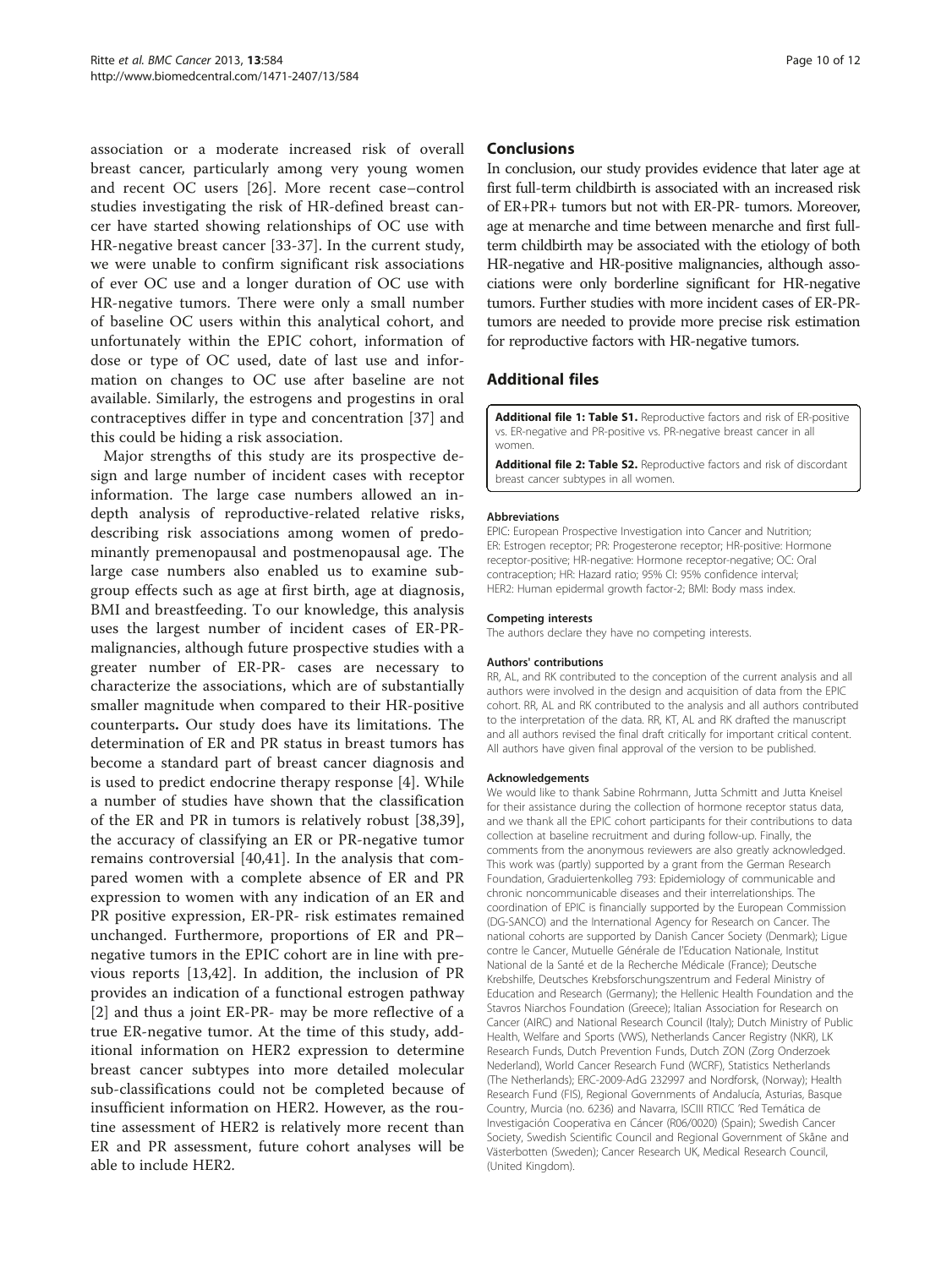<span id="page-9-0"></span>association or a moderate increased risk of overall breast cancer, particularly among very young women and recent OC users [[26\]](#page-11-0). More recent case–control studies investigating the risk of HR-defined breast cancer have started showing relationships of OC use with HR-negative breast cancer [[33-37](#page-11-0)]. In the current study, we were unable to confirm significant risk associations of ever OC use and a longer duration of OC use with HR-negative tumors. There were only a small number of baseline OC users within this analytical cohort, and unfortunately within the EPIC cohort, information of dose or type of OC used, date of last use and information on changes to OC use after baseline are not available. Similarly, the estrogens and progestins in oral contraceptives differ in type and concentration [[37\]](#page-11-0) and this could be hiding a risk association.

Major strengths of this study are its prospective design and large number of incident cases with receptor information. The large case numbers allowed an indepth analysis of reproductive-related relative risks, describing risk associations among women of predominantly premenopausal and postmenopausal age. The large case numbers also enabled us to examine subgroup effects such as age at first birth, age at diagnosis, BMI and breastfeeding. To our knowledge, this analysis uses the largest number of incident cases of ER-PRmalignancies, although future prospective studies with a greater number of ER-PR- cases are necessary to characterize the associations, which are of substantially smaller magnitude when compared to their HR-positive counterparts. Our study does have its limitations. The determination of ER and PR status in breast tumors has become a standard part of breast cancer diagnosis and is used to predict endocrine therapy response [\[4](#page-10-0)]. While a number of studies have shown that the classification of the ER and PR in tumors is relatively robust [[38,39](#page-11-0)], the accuracy of classifying an ER or PR-negative tumor remains controversial [[40,41](#page-11-0)]. In the analysis that compared women with a complete absence of ER and PR expression to women with any indication of an ER and PR positive expression, ER-PR- risk estimates remained unchanged. Furthermore, proportions of ER and PR– negative tumors in the EPIC cohort are in line with previous reports [\[13](#page-10-0)[,42](#page-11-0)]. In addition, the inclusion of PR provides an indication of a functional estrogen pathway [[2\]](#page-10-0) and thus a joint ER-PR- may be more reflective of a true ER-negative tumor. At the time of this study, additional information on HER2 expression to determine breast cancer subtypes into more detailed molecular sub-classifications could not be completed because of insufficient information on HER2. However, as the routine assessment of HER2 is relatively more recent than ER and PR assessment, future cohort analyses will be able to include HER2.

#### Conclusions

In conclusion, our study provides evidence that later age at first full-term childbirth is associated with an increased risk of ER+PR+ tumors but not with ER-PR- tumors. Moreover, age at menarche and time between menarche and first fullterm childbirth may be associated with the etiology of both HR-negative and HR-positive malignancies, although associations were only borderline significant for HR-negative tumors. Further studies with more incident cases of ER-PRtumors are needed to provide more precise risk estimation for reproductive factors with HR-negative tumors.

## Additional files

[Additional file 1: Table S1.](http://www.biomedcentral.com/content/supplementary/1471-2407-13-584-S1.docx) Reproductive factors and risk of ER-positive vs. ER-negative and PR-positive vs. PR-negative breast cancer in all women.

[Additional file 2: Table S2.](http://www.biomedcentral.com/content/supplementary/1471-2407-13-584-S2.docx) Reproductive factors and risk of discordant breast cancer subtypes in all women.

#### Abbreviations

EPIC: European Prospective Investigation into Cancer and Nutrition; ER: Estrogen receptor; PR: Progesterone receptor; HR-positive: Hormone receptor-positive; HR-negative: Hormone receptor-negative; OC: Oral contraception; HR: Hazard ratio; 95% CI: 95% confidence interval; HER2: Human epidermal growth factor-2; BMI: Body mass index.

#### Competing interests

The authors declare they have no competing interests.

#### Authors' contributions

RR, AL, and RK contributed to the conception of the current analysis and all authors were involved in the design and acquisition of data from the EPIC cohort. RR, AL and RK contributed to the analysis and all authors contributed to the interpretation of the data. RR, KT, AL and RK drafted the manuscript and all authors revised the final draft critically for important critical content. All authors have given final approval of the version to be published.

#### Acknowledgements

We would like to thank Sabine Rohrmann, Jutta Schmitt and Jutta Kneisel for their assistance during the collection of hormone receptor status data, and we thank all the EPIC cohort participants for their contributions to data collection at baseline recruitment and during follow-up. Finally, the comments from the anonymous reviewers are also greatly acknowledged. This work was (partly) supported by a grant from the German Research Foundation, Graduiertenkolleg 793: Epidemiology of communicable and chronic noncommunicable diseases and their interrelationships. The coordination of EPIC is financially supported by the European Commission (DG-SANCO) and the International Agency for Research on Cancer. The national cohorts are supported by Danish Cancer Society (Denmark); Ligue contre le Cancer, Mutuelle Générale de l'Education Nationale, Institut National de la Santé et de la Recherche Médicale (France); Deutsche Krebshilfe, Deutsches Krebsforschungszentrum and Federal Ministry of Education and Research (Germany); the Hellenic Health Foundation and the Stavros Niarchos Foundation (Greece); Italian Association for Research on Cancer (AIRC) and National Research Council (Italy); Dutch Ministry of Public Health, Welfare and Sports (VWS), Netherlands Cancer Registry (NKR), LK Research Funds, Dutch Prevention Funds, Dutch ZON (Zorg Onderzoek Nederland), World Cancer Research Fund (WCRF), Statistics Netherlands (The Netherlands); ERC-2009-AdG 232997 and Nordforsk, (Norway); Health Research Fund (FIS), Regional Governments of Andalucía, Asturias, Basque Country, Murcia (no. 6236) and Navarra, ISCIII RTICC 'Red Temática de Investigación Cooperativa en Cáncer (R06/0020) (Spain); Swedish Cancer Society, Swedish Scientific Council and Regional Government of Skåne and Västerbotten (Sweden); Cancer Research UK, Medical Research Council, (United Kingdom).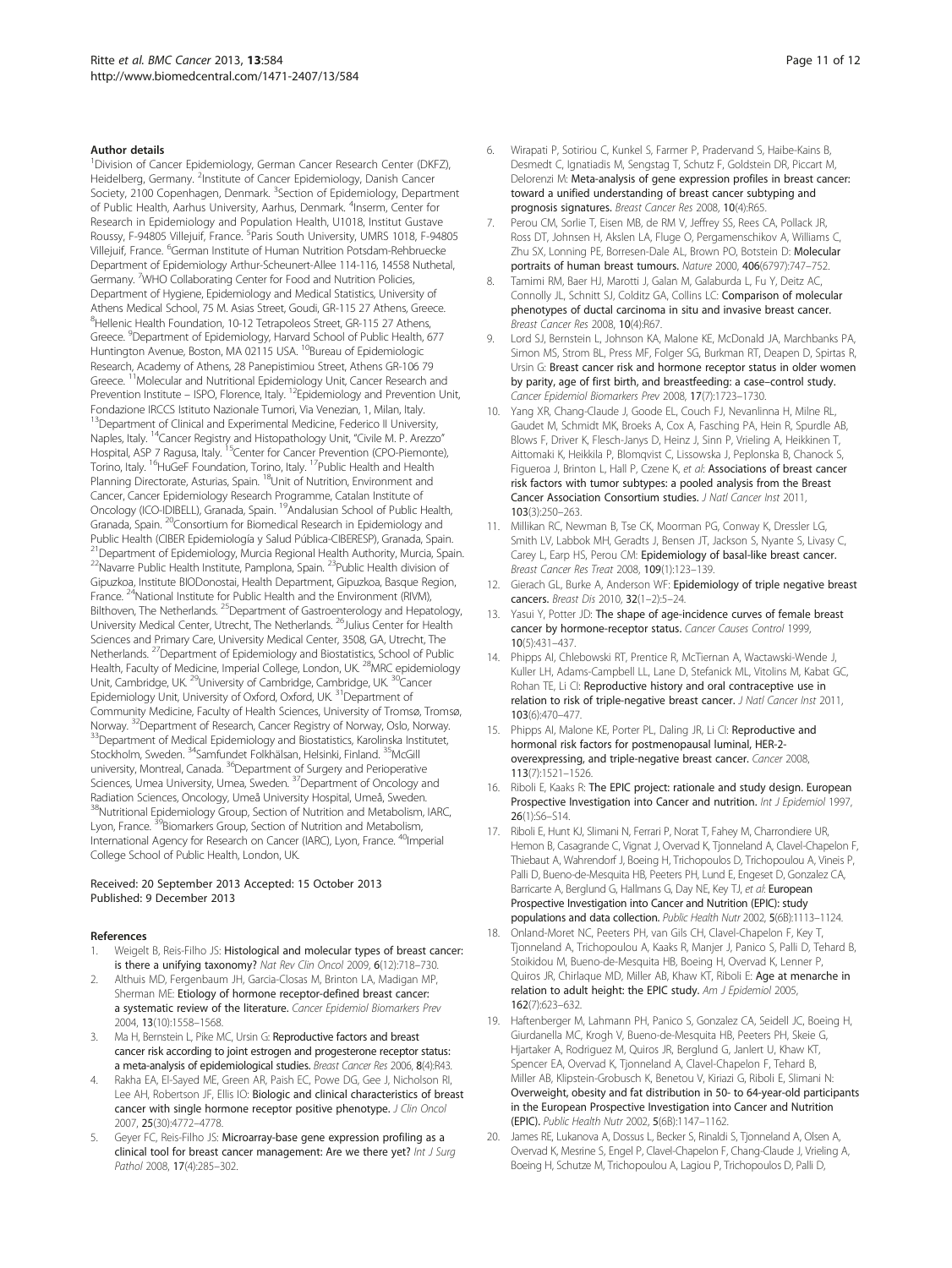#### <span id="page-10-0"></span>Author details

<sup>1</sup>Division of Cancer Epidemiology, German Cancer Research Center (DKFZ), Heidelberg, Germany. <sup>2</sup>Institute of Cancer Epidemiology, Danish Cancer Society, 2100 Copenhagen, Denmark. <sup>3</sup>Section of Epidemiology, Department of Public Health, Aarhus University, Aarhus, Denmark. <sup>4</sup>Inserm, Center for Research in Epidemiology and Population Health, U1018, Institut Gustave Roussy, F-94805 Villejuif, France. <sup>5</sup>Paris South University, UMRS 1018, F-94805 Villejuif, France. <sup>6</sup>German Institute of Human Nutrition Potsdam-Rehbruecke Department of Epidemiology Arthur-Scheunert-Allee 114-116, 14558 Nuthetal, Germany. <sup>7</sup>WHO Collaborating Center for Food and Nutrition Policies, Department of Hygiene, Epidemiology and Medical Statistics, University of Athens Medical School, 75 M. Asias Street, Goudi, GR-115 27 Athens, Greece. <sup>8</sup>Hellenic Health Foundation, 10-12 Tetrapoleos Street, GR-115 27 Athens, Greece. <sup>9</sup>Department of Epidemiology, Harvard School of Public Health, 677 Huntington Avenue, Boston, MA 02115 USA. <sup>10</sup>Bureau of Epidemiologic Research, Academy of Athens, 28 Panepistimiou Street, Athens GR-106 79 Greece. 11Molecular and Nutritional Epidemiology Unit, Cancer Research and Prevention Institute – ISPO, Florence, Italy. <sup>12</sup>Epidemiology and Prevention Unit, Fondazione IRCCS Istituto Nazionale Tumori, Via Venezian, 1, Milan, Italy. <sup>13</sup>Department of Clinical and Experimental Medicine, Federico II University, Naples, Italy. 14Cancer Registry and Histopathology Unit, "Civile M. P. Arezzo" Hospital, ASP 7 Ragusa, Italy. <sup>15</sup>Center for Cancer Prevention (CPO-Piemonte), Torino, Italy. <sup>16</sup>HuGeF Foundation, Torino, Italy. <sup>17</sup>Public Health and Health Planning Directorate, Asturias, Spain. 18Unit of Nutrition, Environment and Cancer, Cancer Epidemiology Research Programme, Catalan Institute of Oncology (ICO-IDIBELL), Granada, Spain. 19Andalusian School of Public Health, Granada, Spain. 20Consortium for Biomedical Research in Epidemiology and Public Health (CIBER Epidemiología y Salud Pública-CIBERESP), Granada, Spain. <sup>21</sup>Department of Epidemiology, Murcia Regional Health Authority, Murcia, Spain. <sup>22</sup>Navarre Public Health Institute, Pamplona, Spain. <sup>23</sup>Public Health division of Gipuzkoa, Institute BIODonostai, Health Department, Gipuzkoa, Basque Region, France. <sup>24</sup>National Institute for Public Health and the Environment (RIVM), Bilthoven, The Netherlands. <sup>25</sup>Department of Gastroenterology and Hepatology, University Medical Center, Utrecht, The Netherlands. 26Julius Center for Health Sciences and Primary Care, University Medical Center, 3508, GA, Utrecht, The Netherlands. 27Department of Epidemiology and Biostatistics, School of Public Health, Faculty of Medicine, Imperial College, London, UK.<sup>28</sup>MRC epidemiology Unit, Cambridge, UK.<sup>29</sup>University of Cambridge, Cambridge, UK.<sup>30</sup>Cancer Epidemiology Unit, University of Oxford, Oxford, UK. 31Department of Community Medicine, Faculty of Health Sciences, University of Tromsø, Tromsø, Norway. <sup>32</sup>Department of Research, Cancer Registry of Norway, Oslo, Norway.<br><sup>33</sup>Department of Medical Epidemiology and Biostatistics, Karolinska Institutet, Stockholm, Sweden. <sup>34</sup>Samfundet Folkhälsan, Helsinki, Finland. <sup>35</sup>McGill university, Montreal, Canada. <sup>36</sup>Department of Surgery and Perioperative Sciences, Umea University, Umea, Sweden. <sup>37</sup>Department of Oncology and Radiation Sciences, Oncology, Umeå University Hospital, Umeå, Sweden. <sup>8</sup>Nutritional Epidemiology Group, Section of Nutrition and Metabolism, IARC, Lyon, France. <sup>39</sup>Biomarkers Group, Section of Nutrition and Metabolism, International Agency for Research on Cancer (IARC), Lyon, France. <sup>40</sup>Imperial College School of Public Health, London, UK.

#### Received: 20 September 2013 Accepted: 15 October 2013 Published: 9 December 2013

#### References

- 1. Weigelt B, Reis-Filho JS: Histological and molecular types of breast cancer: is there a unifying taxonomy? Nat Rev Clin Oncol 2009, 6(12):718–730.
- 2. Althuis MD, Fergenbaum JH, Garcia-Closas M, Brinton LA, Madigan MP, Sherman ME: Etiology of hormone receptor-defined breast cancer: a systematic review of the literature. Cancer Epidemiol Biomarkers Prev 2004, 13(10):1558–1568.
- 3. Ma H, Bernstein L, Pike MC, Ursin G: Reproductive factors and breast cancer risk according to joint estrogen and progesterone receptor status: a meta-analysis of epidemiological studies. Breast Cancer Res 2006, 8(4):R43.
- 4. Rakha EA, El-Sayed ME, Green AR, Paish EC, Powe DG, Gee J, Nicholson RI, Lee AH, Robertson JF, Ellis IO: Biologic and clinical characteristics of breast cancer with single hormone receptor positive phenotype. J Clin Oncol 2007, 25(30):4772–4778.
- 5. Geyer FC, Reis-Filho JS: Microarray-base gene expression profiling as a clinical tool for breast cancer management: Are we there yet? Int J Surg Pathol 2008, 17(4):285-302.
- 6. Wirapati P, Sotiriou C, Kunkel S, Farmer P, Pradervand S, Haibe-Kains B, Desmedt C, Ignatiadis M, Sengstag T, Schutz F, Goldstein DR, Piccart M, Delorenzi M: Meta-analysis of gene expression profiles in breast cancer: toward a unified understanding of breast cancer subtyping and prognosis signatures. Breast Cancer Res 2008, 10(4):R65.
- Perou CM, Sorlie T, Eisen MB, de RM V, Jeffrey SS, Rees CA, Pollack JR, Ross DT, Johnsen H, Akslen LA, Fluge O, Pergamenschikov A, Williams C, Zhu SX, Lonning PE, Borresen-Dale AL, Brown PO, Botstein D: Molecular portraits of human breast tumours. Nature 2000, 406(6797):747–752.
- 8. Tamimi RM, Baer HJ, Marotti J, Galan M, Galaburda L, Fu Y, Deitz AC, Connolly JL, Schnitt SJ, Colditz GA, Collins LC: Comparison of molecular phenotypes of ductal carcinoma in situ and invasive breast cancer. Breast Cancer Res 2008, 10(4):R67.
- 9. Lord SJ, Bernstein L, Johnson KA, Malone KE, McDonald JA, Marchbanks PA, Simon MS, Strom BL, Press MF, Folger SG, Burkman RT, Deapen D, Spirtas R, Ursin G: Breast cancer risk and hormone receptor status in older women by parity, age of first birth, and breastfeeding: a case–control study. Cancer Epidemiol Biomarkers Prev 2008, 17(7):1723–1730.
- 10. Yang XR, Chang-Claude J, Goode EL, Couch FJ, Nevanlinna H, Milne RL, Gaudet M, Schmidt MK, Broeks A, Cox A, Fasching PA, Hein R, Spurdle AB, Blows F, Driver K, Flesch-Janys D, Heinz J, Sinn P, Vrieling A, Heikkinen T, Aittomaki K, Heikkila P, Blomqvist C, Lissowska J, Peplonska B, Chanock S, Figueroa J, Brinton L, Hall P, Czene K, et al: Associations of breast cancer risk factors with tumor subtypes: a pooled analysis from the Breast Cancer Association Consortium studies. J Natl Cancer Inst 2011, 103(3):250–263.
- 11. Millikan RC, Newman B, Tse CK, Moorman PG, Conway K, Dressler LG, Smith LV, Labbok MH, Geradts J, Bensen JT, Jackson S, Nyante S, Livasy C, Carey L, Earp HS, Perou CM: Epidemiology of basal-like breast cancer. Breast Cancer Res Treat 2008, 109(1):123–139.
- 12. Gierach GL, Burke A, Anderson WF: Epidemiology of triple negative breast cancers. Breast Dis 2010, 32(1–2):5–24.
- 13. Yasui Y, Potter JD: The shape of age-incidence curves of female breast cancer by hormone-receptor status. Cancer Causes Control 1999, 10(5):431–437.
- 14. Phipps AI, Chlebowski RT, Prentice R, McTiernan A, Wactawski-Wende J, Kuller LH, Adams-Campbell LL, Lane D, Stefanick ML, Vitolins M, Kabat GC, Rohan TE, Li CI: Reproductive history and oral contraceptive use in relation to risk of triple-negative breast cancer. J Natl Cancer Inst 2011, 103(6):470–477.
- 15. Phipps AI, Malone KE, Porter PL, Daling JR, Li CI: Reproductive and hormonal risk factors for postmenopausal luminal, HER-2 overexpressing, and triple-negative breast cancer. Cancer 2008, 113(7):1521–1526.
- 16. Riboli E, Kaaks R: The EPIC project: rationale and study design. European Prospective Investigation into Cancer and nutrition. Int J Epidemiol 1997, 26(1):S6–S14.
- 17. Riboli E, Hunt KJ, Slimani N, Ferrari P, Norat T, Fahey M, Charrondiere UR, Hemon B, Casagrande C, Vignat J, Overvad K, Tionneland A, Clavel-Chapelon F, Thiebaut A, Wahrendorf J, Boeing H, Trichopoulos D, Trichopoulou A, Vineis P, Palli D, Bueno-de-Mesquita HB, Peeters PH, Lund E, Engeset D, Gonzalez CA, Barricarte A, Berglund G, Hallmans G, Day NE, Key TJ, et al: European Prospective Investigation into Cancer and Nutrition (EPIC): study populations and data collection. Public Health Nutr 2002, 5(6B):1113–1124.
- 18. Onland-Moret NC, Peeters PH, van Gils CH, Clavel-Chapelon F, Key T, Tjonneland A, Trichopoulou A, Kaaks R, Manjer J, Panico S, Palli D, Tehard B, Stoikidou M, Bueno-de-Mesquita HB, Boeing H, Overvad K, Lenner P, Quiros JR, Chirlaque MD, Miller AB, Khaw KT, Riboli E: Age at menarche in relation to adult height: the EPIC study. Am J Epidemiol 2005, 162(7):623–632.
- 19. Haftenberger M, Lahmann PH, Panico S, Gonzalez CA, Seidell JC, Boeing H, Giurdanella MC, Krogh V, Bueno-de-Mesquita HB, Peeters PH, Skeie G, Hjartaker A, Rodriguez M, Quiros JR, Berglund G, Janlert U, Khaw KT, Spencer EA, Overvad K, Tjonneland A, Clavel-Chapelon F, Tehard B, Miller AB, Klipstein-Grobusch K, Benetou V, Kiriazi G, Riboli E, Slimani N: Overweight, obesity and fat distribution in 50- to 64-year-old participants in the European Prospective Investigation into Cancer and Nutrition (EPIC). Public Health Nutr 2002, 5(6B):1147–1162.
- 20. James RE, Lukanova A, Dossus L, Becker S, Rinaldi S, Tjonneland A, Olsen A, Overvad K, Mesrine S, Engel P, Clavel-Chapelon F, Chang-Claude J, Vrieling A, Boeing H, Schutze M, Trichopoulou A, Lagiou P, Trichopoulos D, Palli D,